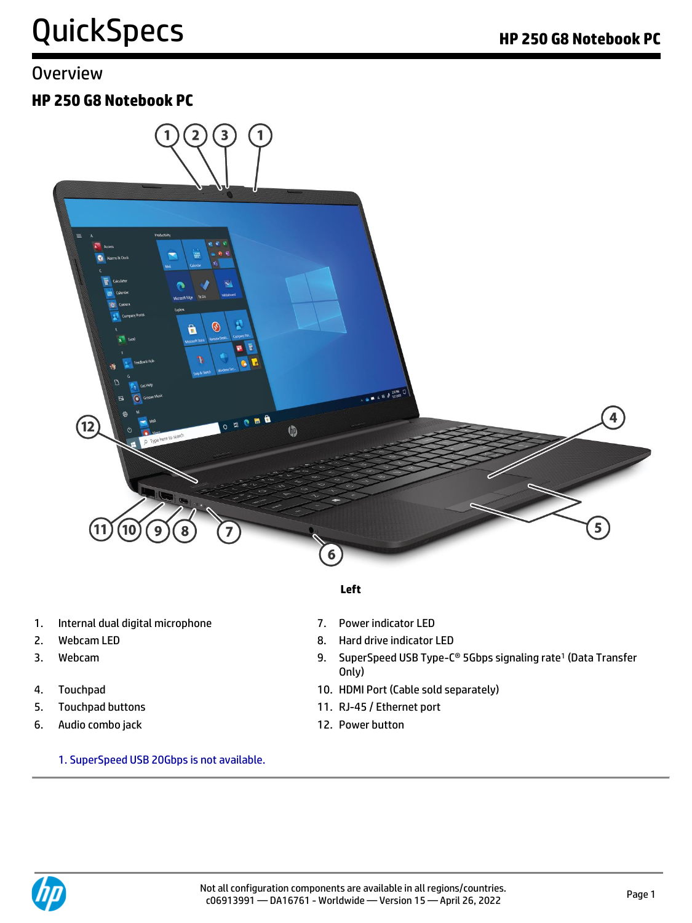## QuickSpecs **Manual Accord PC** Research **HP 250 G8 Notebook PC**

### **Overview**

### **HP 250 G8 Notebook PC**



#### **Left**

- 1. Internal dual digital microphone 7. Power indicator LED
- 
- 
- 
- 
- 6. Audio combo jack 12. Power button
	- 1. SuperSpeed USB 20Gbps is not available.
- 
- 2. Webcam LED 8. Hard drive indicator LED
- 3. Webcam 9. SuperSpeed USB Type-C® 5Gbps signaling rate<sup>1</sup> (Data Transfer Only)
- 4. Touchpad 10. HDMI Port (Cable sold separately)
- 5. Touchpad buttons 11. RJ-45 / Ethernet port
	-

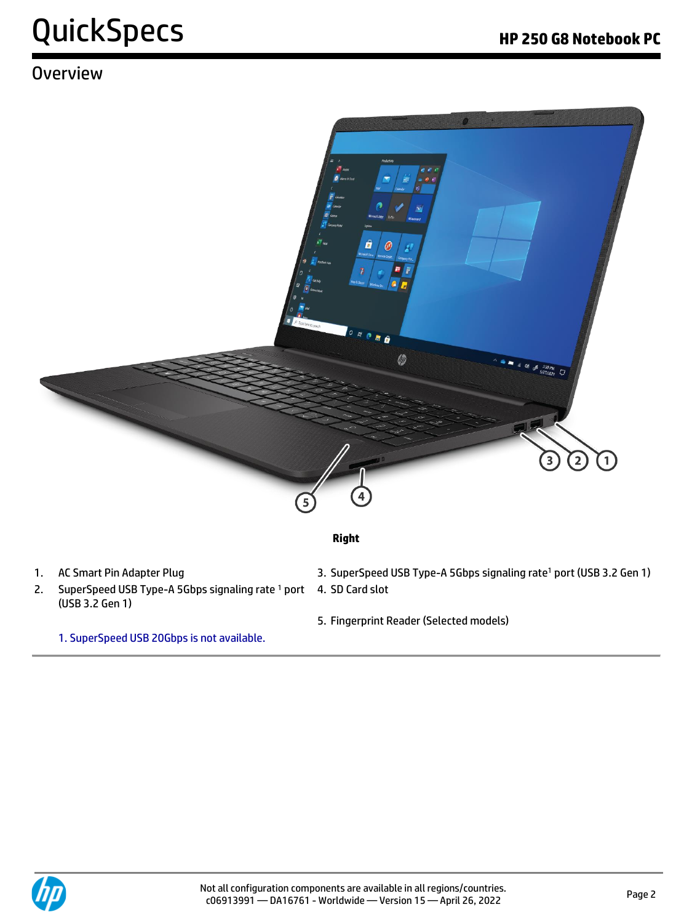## QuickSpecs **Accord Property Accord PC** New York PC

### **Overview**



#### **Right**

- 
- 2. SuperSpeed USB Type-A 5Gbps signaling rate <sup>1</sup> port (USB 3.2 Gen 1)
	-
	- 1. SuperSpeed USB 20Gbps is not available.
- 1. AC Smart Pin Adapter Plug 1. Ac Smart Pin Adapter Plug 3. SuperSpeed USB Type-A 5Gbps signaling rate<sup>1</sup> port (USB 3.2 Gen 1)
	- 4. SD Card slot
	- 5. Fingerprint Reader (Selected models)

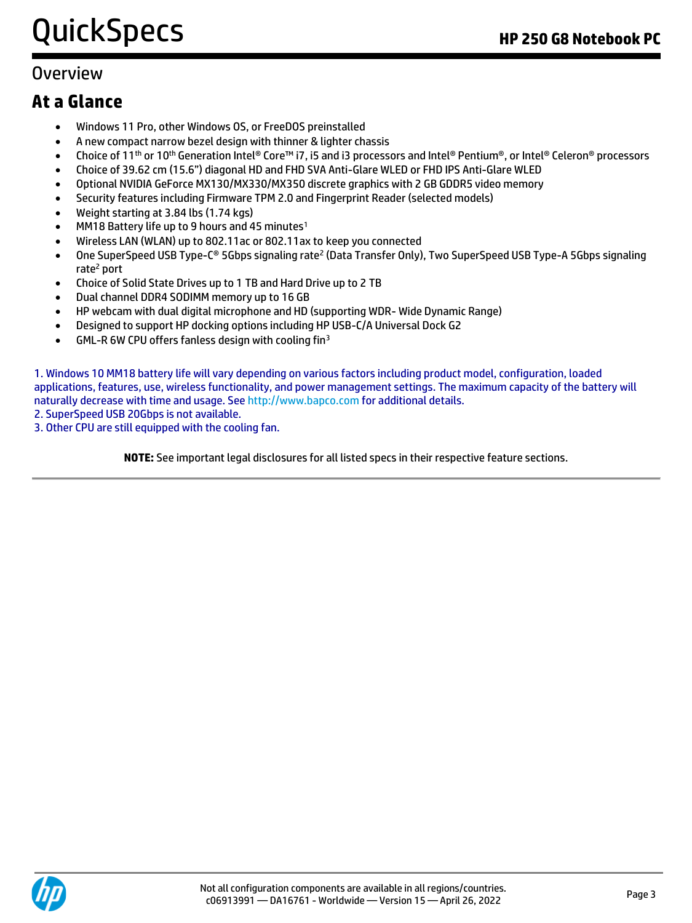## QuickSpecs **HP 250 G8 Notebook PC**

### **Overview**

### **At a Glance**

- Windows 11 Pro, other Windows OS, or FreeDOS preinstalled
- A new compact narrow bezel design with thinner & lighter chassis
- Choice of 11th or 10th Generation Intel® Core™ i7, i5 and i3 processors and Intel® Pentium®, or Intel® Celeron® processors
- Choice of 39.62 cm (15.6") diagonal HD and FHD SVA Anti-Glare WLED or FHD IPS Anti-Glare WLED
- Optional NVIDIA GeForce MX130/MX330/MX350 discrete graphics with 2 GB GDDR5 video memory
- Security features including Firmware TPM 2.0 and Fingerprint Reader (selected models)
- Weight starting at 3.84 lbs (1.74 kgs)
- MM18 Battery life up to 9 hours and 45 minutes<sup>1</sup>
- Wireless LAN (WLAN) up to 802.11ac or 802.11ax to keep you connected
- One SuperSpeed USB Type-C® 5Gbps signaling rate<sup>2</sup> (Data Transfer Only), Two SuperSpeed USB Type-A 5Gbps signaling rate<sup>2</sup> port
- Choice of Solid State Drives up to 1 TB and Hard Drive up to 2 TB
- Dual channel DDR4 SODIMM memory up to 16 GB
- HP webcam with dual digital microphone and HD (supporting WDR- Wide Dynamic Range)
- Designed to support HP docking options including HP USB-C/A Universal Dock G2
- GML-R 6W CPU offers fanless design with cooling fin<sup>3</sup>

1. Windows 10 MM18 battery life will vary depending on various factors including product model, configuration, loaded applications, features, use, wireless functionality, and power management settings. The maximum capacity of the battery will naturally decrease with time and usage. See [http://www.bapco.com](http://www.bapco.com/) for additional details.

2. SuperSpeed USB 20Gbps is not available.

3. Other CPU are still equipped with the cooling fan.

**NOTE:** See important legal disclosures for all listed specs in their respective feature sections.

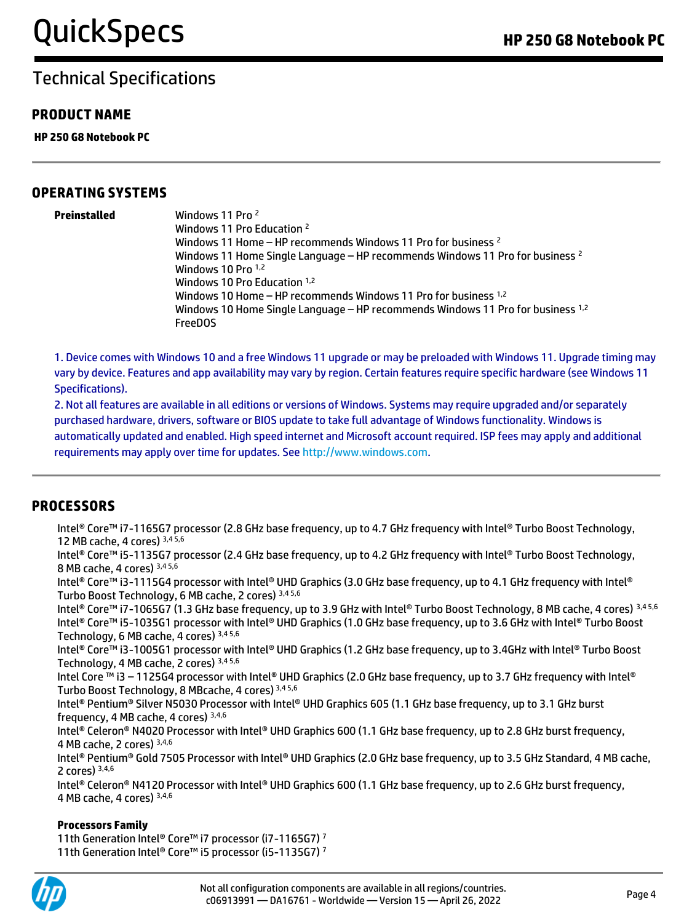#### **PRODUCT NAME**

**HP 250 G8 Notebook PC**

#### **OPERATING SYSTEMS**

**Preinstalled** Windows 11 Pro <sup>2</sup> Windows 11 Pro Education <sup>2</sup> Windows 11 Home – HP recommends Windows 11 Pro for business <sup>2</sup> Windows 11 Home Single Language – HP recommends Windows 11 Pro for business <sup>2</sup> Windows 10 Pro 1,2 Windows 10 Pro Education 1,2 Windows 10 Home - HP recommends Windows 11 Pro for business <sup>1,2</sup> Windows 10 Home Single Language - HP recommends Windows 11 Pro for business <sup>1,2</sup> FreeDOS

1. Device comes with Windows 10 and a free Windows 11 upgrade or may be preloaded with Windows 11. Upgrade timing may vary by device. Features and app availability may vary by region. Certain features require specific hardware (see Windows 11 Specifications).

2. Not all features are available in all editions or versions of Windows. Systems may require upgraded and/or separately purchased hardware, drivers, software or BIOS update to take full advantage of Windows functionality. Windows is automatically updated and enabled. High speed internet and Microsoft account required. ISP fees may apply and additional requirements may apply over time for updates. See [http://www.windows.com.](http://www.windows.com/)

#### **PROCESSORS**

Intel® Core™ i7-1165G7 processor (2.8 GHz base frequency, up to 4.7 GHz frequency with Intel® Turbo Boost Technology, 12 MB cache, 4 cores) 3,4 5,6

Intel® Core™ i5-1135G7 processor (2.4 GHz base frequency, up to 4.2 GHz frequency with Intel® Turbo Boost Technology, 8 MB cache, 4 cores) 3,4 5,6

Intel® Core™ i3-1115G4 processor with Intel® UHD Graphics (3.0 GHz base frequency, up to 4.1 GHz frequency with Intel® Turbo Boost Technology, 6 MB cache, 2 cores) 3,4 5,6

Intel® Core™ i7-1065G7 (1.3 GHz base frequency, up to 3.9 GHz with Intel® Turbo Boost Technology, 8 MB cache, 4 cores) 3,4 5,6 Intel® Core™ i5-1035G1 processor with Intel® UHD Graphics (1.0 GHz base frequency, up to 3.6 GHz with Intel® Turbo Boost Technology, 6 MB cache, 4 cores) 3,4 5,6

Intel® Core™ i3-1005G1 processor with Intel® UHD Graphics (1.2 GHz base frequency, up to 3.4GHz with Intel® Turbo Boost Technology, 4 MB cache, 2 cores) 3,4 5,6

Intel Core ™ i3 – 1125G4 processor with Intel® UHD Graphics (2.0 GHz base frequency, up to 3.7 GHz frequency with Intel® Turbo Boost Technology, 8 MBcache, 4 cores) 3,4 5,6

Intel® Pentium® Silver N5030 Processor with Intel® UHD Graphics 605 (1.1 GHz base frequency, up to 3.1 GHz burst frequency, 4 MB cache, 4 cores) 3,4,6

Intel® Celeron® N4020 Processor with Intel® UHD Graphics 600 (1.1 GHz base frequency, up to 2.8 GHz burst frequency, 4 MB cache, 2 cores) 3,4,6

Intel® Pentium® Gold 7505 Processor with Intel® UHD Graphics (2.0 GHz base frequency, up to 3.5 GHz Standard, 4 MB cache, 2 cores)  $3,4,6$ 

Intel® Celeron® N4120 Processor with Intel® UHD Graphics 600 (1.1 GHz base frequency, up to 2.6 GHz burst frequency, 4 MB cache, 4 cores) 3,4,6

#### **Processors Family**

11th Generation Intel® Core™ i7 processor (i7-1165G7) <sup>7</sup> 11th Generation Intel® Core™ i5 processor (i5-1135G7) 7

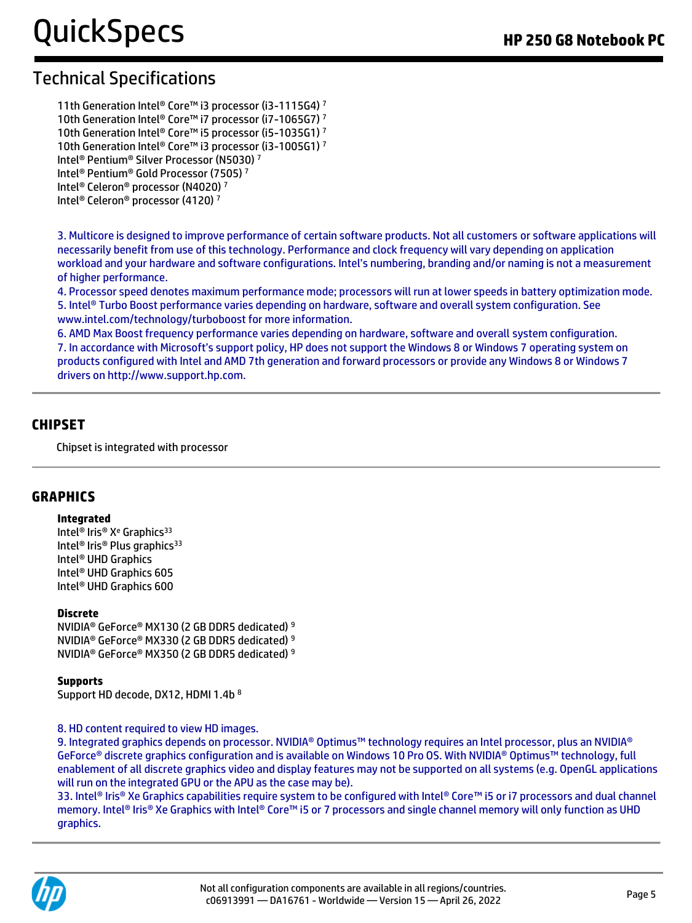11th Generation Intel® Core™ i3 processor (i3-1115G4) <sup>7</sup> 10th Generation Intel® Core™ i7 processor (i7-1065G7) <sup>7</sup> 10th Generation Intel® Core™ i5 processor (i5-1035G1) <sup>7</sup> 10th Generation Intel® Core™ i3 processor (i3-1005G1) <sup>7</sup> Intel® Pentium® Silver Processor (N5030) <sup>7</sup> Intel® Pentium® Gold Processor (7505) <sup>7</sup> Intel® Celeron® processor (N4020) <sup>7</sup>

Intel® Celeron® processor (4120) <sup>7</sup>

3. Multicore is designed to improve performance of certain software products. Not all customers or software applications will necessarily benefit from use of this technology. Performance and clock frequency will vary depending on application workload and your hardware and software configurations. Intel's numbering, branding and/or naming is not a measurement of higher performance.

4. Processor speed denotes maximum performance mode; processors will run at lower speeds in battery optimization mode. 5. Intel® Turbo Boost performance varies depending on hardware, software and overall system configuration. See www.intel.com/technology/turboboost for more information.

6. AMD Max Boost frequency performance varies depending on hardware, software and overall system configuration. 7. In accordance with Microsoft's support policy, HP does not support the Windows 8 or Windows 7 operating system on products configured with Intel and AMD 7th generation and forward processors or provide any Windows 8 or Windows 7 drivers on http://www.support.hp.com.

#### **CHIPSET**

Chipset is integrated with processor

#### **GRAPHICS**

#### **Integrated**

Intel<sup>®</sup> Iris® X<sup>e</sup> Graphics<sup>33</sup> Intel<sup>®</sup> Iris<sup>®</sup> Plus graphics<sup>33</sup> Intel® UHD Graphics Intel® UHD Graphics 605 Intel® UHD Graphics 600

#### **Discrete**

NVIDIA® GeForce® MX130 (2 GB DDR5 dedicated) <sup>9</sup> NVIDIA® GeForce® MX330 (2 GB DDR5 dedicated) <sup>9</sup> NVIDIA® GeForce® MX350 (2 GB DDR5 dedicated) <sup>9</sup>

#### **Supports**

Support HD decode, DX12, HDMI 1.4b <sup>8</sup>

#### 8. HD content required to view HD images.

9. Integrated graphics depends on processor. NVIDIA® Optimus™ technology requires an Intel processor, plus an NVIDIA® GeForce® discrete graphics configuration and is available on Windows 10 Pro OS. With NVIDIA® Optimus™ technology, full enablement of all discrete graphics video and display features may not be supported on all systems (e.g. OpenGL applications will run on the integrated GPU or the APU as the case may be).

33. Intel® Iris® Xe Graphics capabilities require system to be configured with Intel® Core™ i5 or i7 processors and dual channel memory. Intel® Iris® Xe Graphics with Intel® Core™ i5 or 7 processors and single channel memory will only function as UHD graphics.

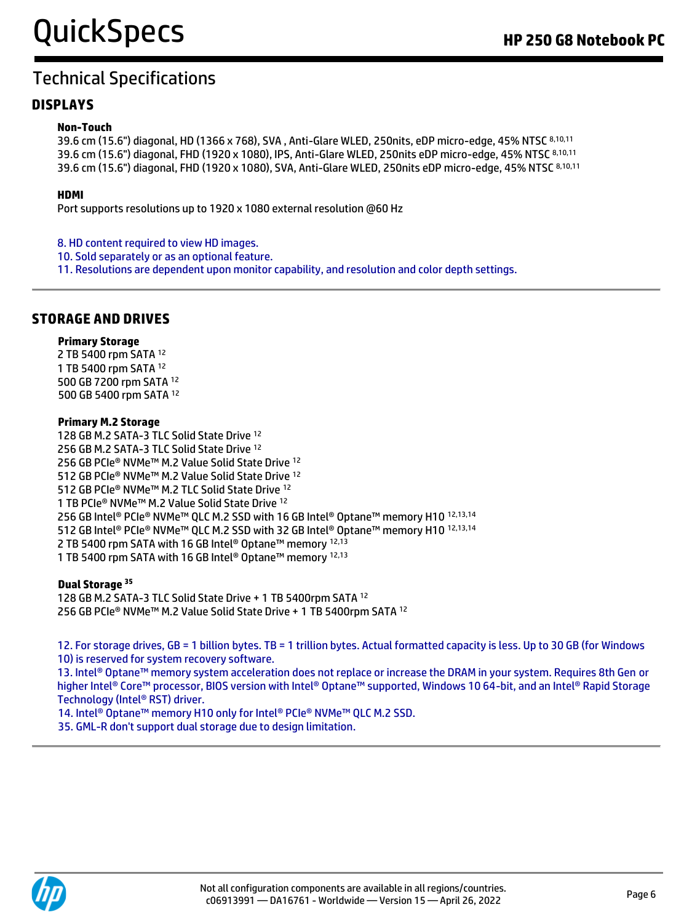#### **DISPLAYS**

#### **Non-Touch**

39.6 cm (15.6") diagonal, HD (1366 x 768), SVA , Anti-Glare WLED, 250nits, eDP micro-edge, 45% NTSC 8,10,11 39.6 cm (15.6") diagonal, FHD (1920 x 1080), IPS, Anti-Glare WLED, 250nits eDP micro-edge, 45% NTSC 8,10,11 39.6 cm (15.6") diagonal, FHD (1920 x 1080), SVA, Anti-Glare WLED, 250nits eDP micro-edge, 45% NTSC 8,10,11

#### **HDMI**

Port supports resolutions up to 1920 x 1080 external resolution @60 Hz

8. HD content required to view HD images.

- 10. Sold separately or as an optional feature.
- 11. Resolutions are dependent upon monitor capability, and resolution and color depth settings.

#### **STORAGE AND DRIVES**

#### **Primary Storage**

2 TB 5400 rpm SATA <sup>12</sup> 1 TB 5400 rpm SATA <sup>12</sup> 500 GB 7200 rpm SATA <sup>12</sup> 500 GB 5400 rpm SATA <sup>12</sup>

#### **Primary M.2 Storage**

128 GB M.2 SATA-3 TLC Solid State Drive <sup>12</sup> 256 GB M.2 SATA-3 TLC Solid State Drive <sup>12</sup> 256 GB PCIe® NVMe™ M.2 Value Solid State Drive 12 512 GB PCIe® NVMe™ M.2 Value Solid State Drive <sup>12</sup> 512 GB PCIe® NVMe™ M.2 TLC Solid State Drive <sup>12</sup> 1 TB PCIe® NVMe™ M.2 Value Solid State Drive <sup>12</sup> 256 GB Intel® PCIe® NVMe™ QLC M.2 SSD with 16 GB Intel® Optane™ memory H10 12,13,14 512 GB Intel® PCIe® NVMe™ QLC M.2 SSD with 32 GB Intel® Optane™ memory H10 12,13,14 2 TB 5400 rpm SATA with 16 GB Intel<sup>®</sup> Optane™ memory <sup>12,13</sup> 1 TB 5400 rpm SATA with 16 GB Intel® Optane™ memory 12,13

#### **Dual Storage <sup>35</sup>**

128 GB M.2 SATA-3 TLC Solid State Drive + 1 TB 5400rpm SATA <sup>12</sup> 256 GB PCIe® NVMe™ M.2 Value Solid State Drive + 1 TB 5400rpm SATA <sup>12</sup>

12. For storage drives, GB = 1 billion bytes. TB = 1 trillion bytes. Actual formatted capacity is less. Up to 30 GB (for Windows 10) is reserved for system recovery software.

13. Intel® Optane™ memory system acceleration does not replace or increase the DRAM in your system. Requires 8th Gen or higher Intel® Core™ processor, BIOS version with Intel® Optane™ supported, Windows 10 64-bit, and an Intel® Rapid Storage Technology (Intel® RST) driver.

14. Intel<sup>®</sup> Optane™ memory H10 only for Intel® PCIe® NVMe™ QLC M.2 SSD.

35. GML-R don't support dual storage due to design limitation.

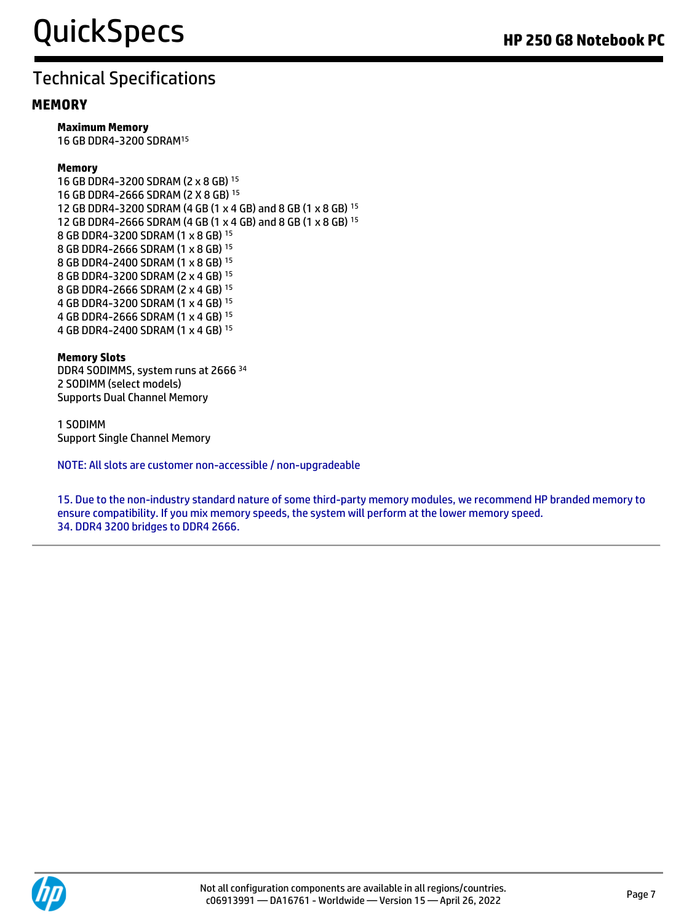#### **MEMORY**

**Maximum Memory** 

16 GB DDR4-3200 SDRAM<sup>15</sup>

#### **Memory**

16 GB DDR4-3200 SDRAM (2 x 8 GB) <sup>15</sup> 16 GB DDR4-2666 SDRAM (2 X 8 GB) <sup>15</sup> 12 GB DDR4-3200 SDRAM (4 GB (1 x 4 GB) and 8 GB (1 x 8 GB) <sup>15</sup> 12 GB DDR4-2666 SDRAM (4 GB (1 x 4 GB) and 8 GB (1 x 8 GB) <sup>15</sup> 8 GB DDR4-3200 SDRAM (1 x 8 GB) <sup>15</sup> 8 GB DDR4-2666 SDRAM (1 x 8 GB) <sup>15</sup> 8 GB DDR4-2400 SDRAM (1 x 8 GB) <sup>15</sup> 8 GB DDR4-3200 SDRAM (2 x 4 GB) <sup>15</sup> 8 GB DDR4-2666 SDRAM (2 x 4 GB) <sup>15</sup> 4 GB DDR4-3200 SDRAM (1 x 4 GB) <sup>15</sup> 4 GB DDR4-2666 SDRAM (1 x 4 GB) <sup>15</sup> 4 GB DDR4-2400 SDRAM (1 x 4 GB) <sup>15</sup>

#### **Memory Slots**

DDR4 SODIMMS, system runs at 2666 <sup>34</sup> 2 SODIMM (select models) Supports Dual Channel Memory

1 SODIMM Support Single Channel Memory

NOTE: All slots are customer non-accessible / non-upgradeable

15. Due to the non-industry standard nature of some third-party memory modules, we recommend HP branded memory to ensure compatibility. If you mix memory speeds, the system will perform at the lower memory speed. 34. DDR4 3200 bridges to DDR4 2666.

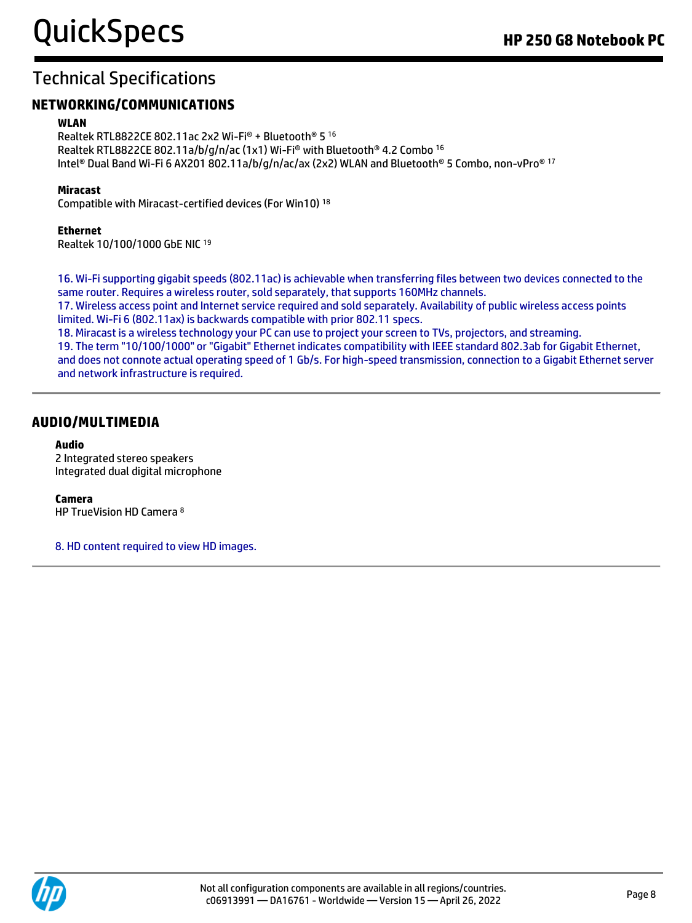#### **NETWORKING/COMMUNICATIONS**

#### **WLAN**

Realtek RTL8822CE 802.11ac 2x2 Wi-Fi® + Bluetooth® 5 <sup>16</sup> Realtek RTL8822CE 802.11a/b/g/n/ac (1x1) Wi-Fi® with Bluetooth® 4.2 Combo <sup>16</sup> Intel® Dual Band Wi-Fi 6 AX201 802.11a/b/g/n/ac/ax (2x2) WLAN and Bluetooth® 5 Combo, non-vPro® <sup>17</sup>

#### **Miracast**

Compatible with Miracast-certified devices (For Win10) <sup>18</sup>

#### **Ethernet**

Realtek 10/100/1000 GbE NIC <sup>19</sup>

16. Wi-Fi supporting gigabit speeds (802.11ac) is achievable when transferring files between two devices connected to the same router. Requires a wireless router, sold separately, that supports 160MHz channels.

17. Wireless access point and Internet service required and sold separately. Availability of public wireless access points limited. Wi-Fi 6 (802.11ax) is backwards compatible with prior 802.11 specs.

18. Miracast is a wireless technology your PC can use to project your screen to TVs, projectors, and streaming. 19. The term "10/100/1000" or "Gigabit" Ethernet indicates compatibility with IEEE standard 802.3ab for Gigabit Ethernet, and does not connote actual operating speed of 1 Gb/s. For high-speed transmission, connection to a Gigabit Ethernet server and network infrastructure is required.

#### **AUDIO/MULTIMEDIA**

#### **Audio**

2 Integrated stereo speakers Integrated dual digital microphone

#### **Camera**

HP TrueVision HD Camera <sup>8</sup>

8. HD content required to view HD images.

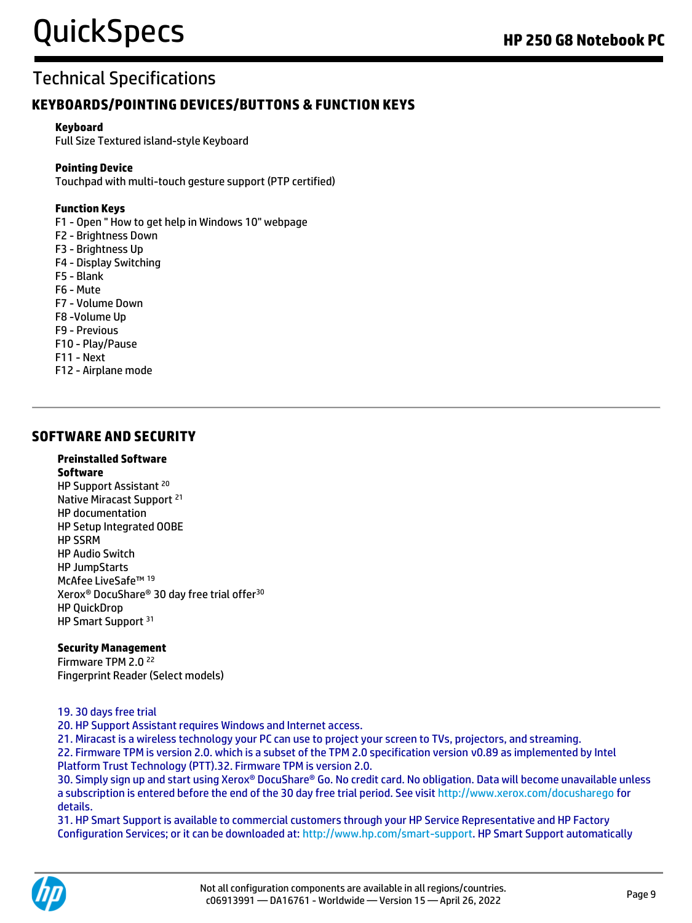#### **KEYBOARDS/POINTING DEVICES/BUTTONS & FUNCTION KEYS**

#### **Keyboard**

Full Size Textured island-style Keyboard

#### **Pointing Device**

Touchpad with multi-touch gesture support (PTP certified)

#### **Function Keys**

F1 - Open " How to get help in Windows 10" webpage

- F2 Brightness Down
- F3 Brightness Up
- F4 Display Switching
- F5 Blank
- F6 Mute
- F7 Volume Down
- F8 -Volume Up
- F9 Previous
- F10 Play/Pause
- F11 Next
- F12 Airplane mode

#### **SOFTWARE AND SECURITY**

#### **Preinstalled Software**

**Software** HP Support Assistant <sup>20</sup> Native Miracast Support <sup>21</sup> HP documentation HP Setup Integrated OOBE HP SSRM HP Audio Switch HP JumpStarts McAfee LiveSafe™ <sup>19</sup> Xerox® DocuShare® 30 day free trial offer<sup>30</sup> HP QuickDrop HP Smart Support <sup>31</sup>

#### **Security Management**

Firmware TPM 2.0 <sup>22</sup> Fingerprint Reader (Select models)

#### 19. 30 days free trial

20. HP Support Assistant requires Windows and Internet access.

21. Miracast is a wireless technology your PC can use to project your screen to TVs, projectors, and streaming. 22. Firmware TPM is version 2.0. which is a subset of the TPM 2.0 specification version v0.89 as implemented by Intel Platform Trust Technology (PTT).32. Firmware TPM is version 2.0.

30. Simply sign up and start using Xerox® DocuShare® Go. No credit card. No obligation. Data will become unavailable unless a subscription is entered before the end of the 30 day free trial period. See visit http://www.xerox.com/docusharego for details.

31. HP Smart Support is available to commercial customers through your HP Service Representative and HP Factory Configuration Services; or it can be downloaded at: [http://www.hp.com/smart-support.](http://www.hp.com/smart-support) HP Smart Support automatically

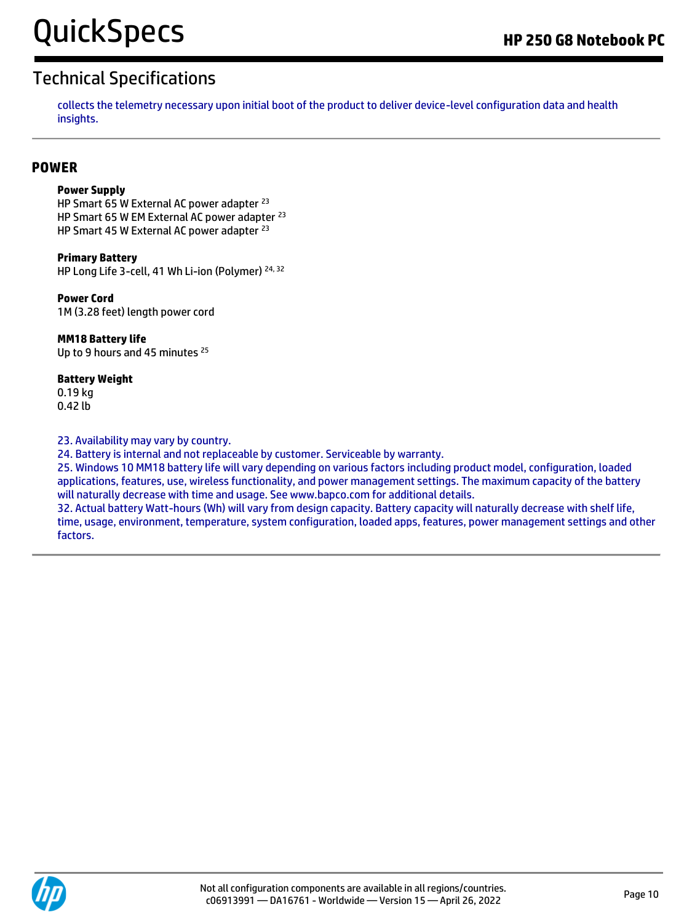collects the telemetry necessary upon initial boot of the product to deliver device-level configuration data and health insights.

#### **POWER**

#### **Power Supply**

HP Smart 65 W External AC power adapter <sup>23</sup> HP Smart 65 W EM External AC power adapter <sup>23</sup> HP Smart 45 W External AC power adapter <sup>23</sup>

**Primary Battery**  HP Long Life 3-cell, 41 Wh Li-ion (Polymer) 24, 32

**Power Cord**  1M (3.28 feet) length power cord

#### **MM18 Battery life**

Up to 9 hours and 45 minutes <sup>25</sup>

#### **Battery Weight**

0.19 kg 0.42 lb

23. Availability may vary by country.

24. Battery is internal and not replaceable by customer. Serviceable by warranty.

25. Windows 10 MM18 battery life will vary depending on various factors including product model, configuration, loaded applications, features, use, wireless functionality, and power management settings. The maximum capacity of the battery will naturally decrease with time and usage. See www.bapco.com for additional details.

32. Actual battery Watt-hours (Wh) will vary from design capacity. Battery capacity will naturally decrease with shelf life, time, usage, environment, temperature, system configuration, loaded apps, features, power management settings and other factors.

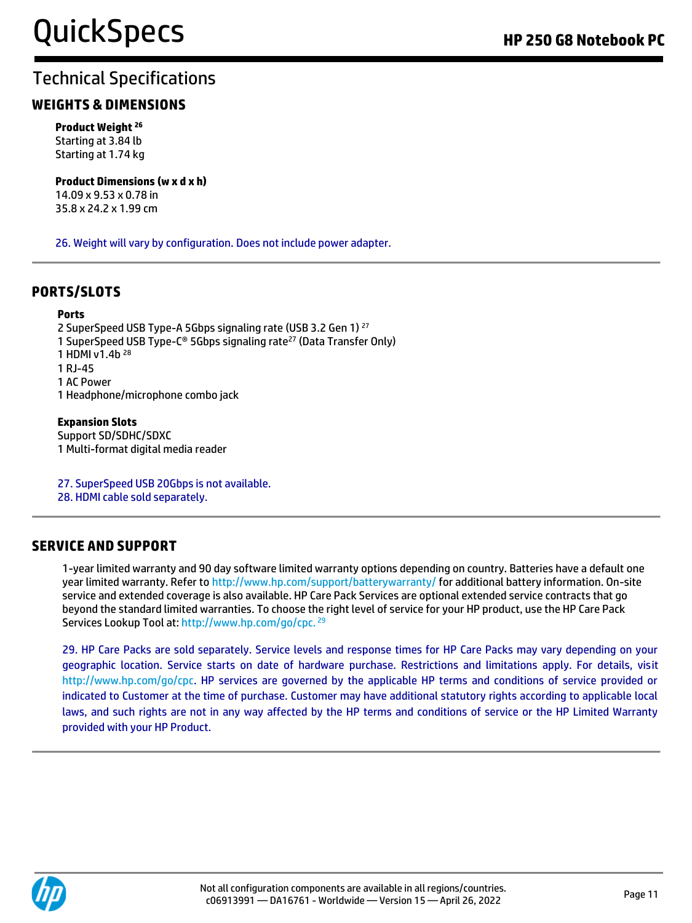#### **WEIGHTS & DIMENSIONS**

**Product Weight <sup>26</sup>** Starting at 3.84 lb Starting at 1.74 kg

**Product Dimensions (w x d x h)** 14.09 x 9.53 x 0.78 in

35.8 x 24.2 x 1.99 cm

26. Weight will vary by configuration. Does not include power adapter.

#### **PORTS/SLOTS**

#### **Ports**

2 SuperSpeed USB Type-A 5Gbps signaling rate (USB 3.2 Gen 1) <sup>27</sup> 1 SuperSpeed USB Type-C® 5Gbps signaling rate<sup>27</sup> (Data Transfer Only) 1 HDMI v1.4b <sup>28</sup> 1 RJ-45 1 AC Power 1 Headphone/microphone combo jack

#### **Expansion Slots**

Support SD/SDHC/SDXC 1 Multi-format digital media reader

27. SuperSpeed USB 20Gbps is not available. 28. HDMI cable sold separately.

#### **SERVICE AND SUPPORT**

1-year limited warranty and 90 day software limited warranty options depending on country. Batteries have a default one year limited warranty. Refer to http://www.hp.com/support/batterywarranty/ for additional battery information. On-site service and extended coverage is also available. HP Care Pack Services are optional extended service contracts that go beyond the standard limited warranties. To choose the right level of service for your HP product, use the HP Care Pack Services Lookup Tool at: http://www.hp.com/go/cpc. <sup>29</sup>

29. HP Care Packs are sold separately. Service levels and response times for HP Care Packs may vary depending on your geographic location. Service starts on date of hardware purchase. Restrictions and limitations apply. For details, visit http://www.hp.com/go/cpc. HP services are governed by the applicable HP terms and conditions of service provided or indicated to Customer at the time of purchase. Customer may have additional statutory rights according to applicable local laws, and such rights are not in any way affected by the HP terms and conditions of service or the HP Limited Warranty provided with your HP Product.

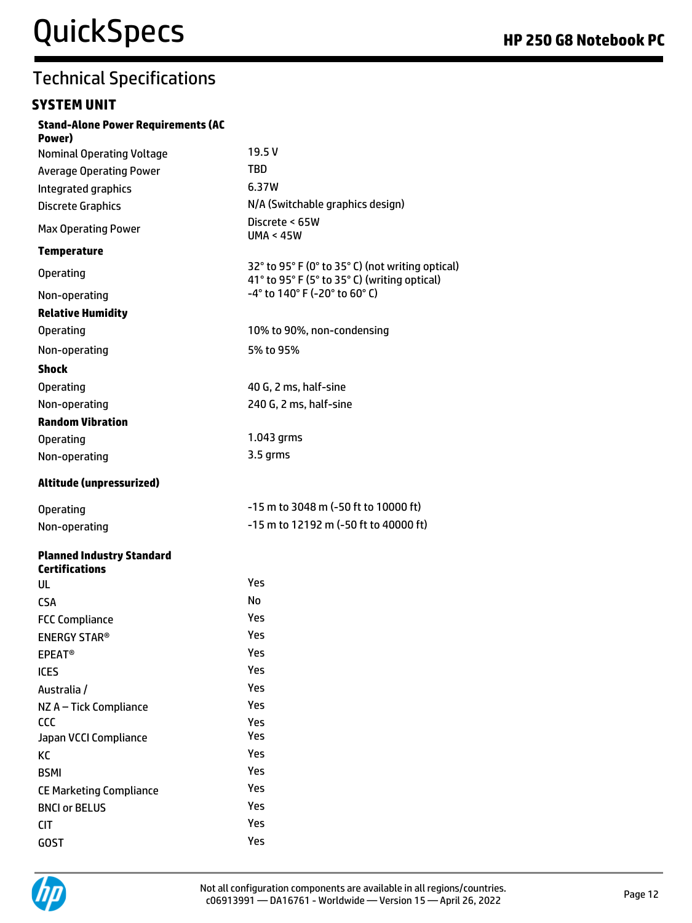#### **SYSTEM UNIT**

| <b>Stand-Alone Power Requirements (AC</b><br>Power) |                                                                                                  |
|-----------------------------------------------------|--------------------------------------------------------------------------------------------------|
| <b>Nominal Operating Voltage</b>                    | 19.5 V                                                                                           |
| <b>Average Operating Power</b>                      | <b>TBD</b>                                                                                       |
| Integrated graphics                                 | 6.37W                                                                                            |
| <b>Discrete Graphics</b>                            | N/A (Switchable graphics design)                                                                 |
| <b>Max Operating Power</b>                          | Discrete < 65W<br><b>UMA &lt; 45W</b>                                                            |
| <b>Temperature</b>                                  |                                                                                                  |
| <b>Operating</b>                                    | 32° to 95° F (0° to 35° C) (not writing optical)<br>41° to 95° F (5° to 35° C) (writing optical) |
| Non-operating                                       | -4° to 140° F (-20° to 60° C)                                                                    |
| <b>Relative Humidity</b>                            |                                                                                                  |
| <b>Operating</b>                                    | 10% to 90%, non-condensing                                                                       |
| Non-operating                                       | 5% to 95%                                                                                        |
| <b>Shock</b>                                        |                                                                                                  |
| <b>Operating</b>                                    | 40 G, 2 ms, half-sine                                                                            |
| Non-operating                                       | 240 G, 2 ms, half-sine                                                                           |
| <b>Random Vibration</b>                             |                                                                                                  |
| <b>Operating</b>                                    | 1.043 grms                                                                                       |
| Non-operating                                       | 3.5 grms                                                                                         |
| Altitude (unpressurized)                            |                                                                                                  |
| <b>Operating</b>                                    | $-15$ m to 3048 m (-50 ft to 10000 ft)                                                           |
| Non-operating                                       | $-15$ m to 12192 m ( $-50$ ft to 40000 ft)                                                       |
| <b>Planned Industry Standard</b>                    |                                                                                                  |
| <b>Certifications</b>                               | Yes                                                                                              |
| UL                                                  | No                                                                                               |
| <b>CSA</b>                                          | Yes                                                                                              |
| <b>FCC Compliance</b>                               | Yes                                                                                              |
| <b>ENERGY STAR®</b>                                 | Yes                                                                                              |
| <b>EPEAT<sup>®</sup></b><br><b>ICES</b>             | Yes                                                                                              |
| Australia /                                         | Yes                                                                                              |
|                                                     | Yes                                                                                              |
| NZ A - Tick Compliance<br>CCC                       | Yes                                                                                              |
| Japan VCCI Compliance                               | Yes                                                                                              |
| KC                                                  | Yes                                                                                              |
| <b>BSMI</b>                                         | Yes                                                                                              |
| <b>CE Marketing Compliance</b>                      | Yes                                                                                              |
| <b>BNCI or BELUS</b>                                | Yes                                                                                              |
| <b>CIT</b>                                          | Yes                                                                                              |
| <b>GOST</b>                                         | Yes                                                                                              |

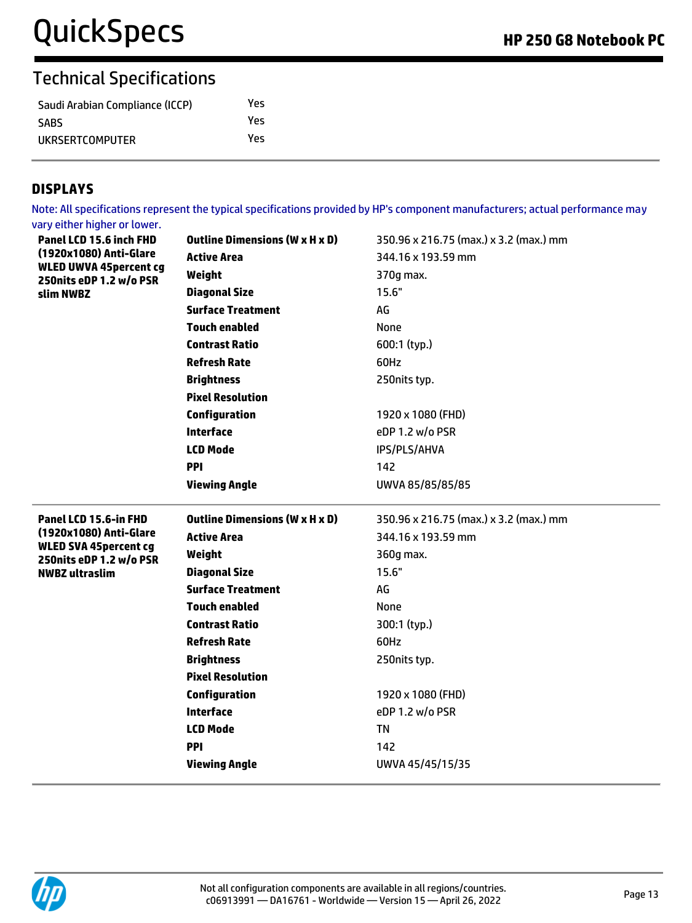| Saudi Arabian Compliance (ICCP) | Yes |
|---------------------------------|-----|
| <b>SABS</b>                     | Yes |
| UKRSERTCOMPUTER                 | Yes |

#### **DISPLAYS**

Note: All specifications represent the typical specifications provided by HP's component manufacturers; actual performance may vary either higher or lower.

| Panel LCD 15.6 inch FHD<br>(1920x1080) Anti-Glare<br><b>WLED UWVA 45percent cg</b><br>250nits eDP 1.2 w/o PSR<br>slim NWBZ | <b>Outline Dimensions (W x H x D)</b> | 350.96 x 216.75 (max.) x 3.2 (max.) mm |
|----------------------------------------------------------------------------------------------------------------------------|---------------------------------------|----------------------------------------|
|                                                                                                                            | <b>Active Area</b>                    | 344.16 x 193.59 mm                     |
|                                                                                                                            | Weight                                | 370g max.                              |
|                                                                                                                            | <b>Diagonal Size</b>                  | 15.6"                                  |
|                                                                                                                            | <b>Surface Treatment</b>              | AG                                     |
|                                                                                                                            | <b>Touch enabled</b>                  | None                                   |
|                                                                                                                            | <b>Contrast Ratio</b>                 | 600:1 (typ.)                           |
|                                                                                                                            | <b>Refresh Rate</b>                   | 60Hz                                   |
|                                                                                                                            | <b>Brightness</b>                     | 250nits typ.                           |
|                                                                                                                            | <b>Pixel Resolution</b>               |                                        |
|                                                                                                                            | <b>Configuration</b>                  | 1920 x 1080 (FHD)                      |
|                                                                                                                            | <b>Interface</b>                      | eDP 1.2 w/o PSR                        |
|                                                                                                                            | <b>LCD Mode</b>                       | IPS/PLS/AHVA                           |
|                                                                                                                            | <b>PPI</b>                            | 142                                    |
|                                                                                                                            | <b>Viewing Angle</b>                  | UWVA 85/85/85/85                       |
|                                                                                                                            |                                       |                                        |
| Panel LCD 15.6-in FHD                                                                                                      | <b>Outline Dimensions (W x H x D)</b> | 350.96 x 216.75 (max.) x 3.2 (max.) mm |
| (1920x1080) Anti-Glare                                                                                                     | <b>Active Area</b>                    | 344.16 x 193.59 mm                     |
| <b>WLED SVA 45percent cg</b>                                                                                               | Weight                                | 360g max.                              |
| 250nits eDP 1.2 w/o PSR<br><b>NWBZ</b> ultraslim                                                                           | <b>Diagonal Size</b>                  | 15.6"                                  |
|                                                                                                                            | <b>Surface Treatment</b>              | AG                                     |
|                                                                                                                            | <b>Touch enabled</b>                  | None                                   |
|                                                                                                                            | <b>Contrast Ratio</b>                 | 300:1 (typ.)                           |
|                                                                                                                            | <b>Refresh Rate</b>                   | 60Hz                                   |
|                                                                                                                            | <b>Brightness</b>                     | 250nits typ.                           |
|                                                                                                                            | <b>Pixel Resolution</b>               |                                        |
|                                                                                                                            | <b>Configuration</b>                  | 1920 x 1080 (FHD)                      |
|                                                                                                                            | <b>Interface</b>                      | eDP 1.2 w/o PSR                        |
|                                                                                                                            | <b>LCD Mode</b>                       | <b>TN</b>                              |
|                                                                                                                            | PPI                                   | 142                                    |

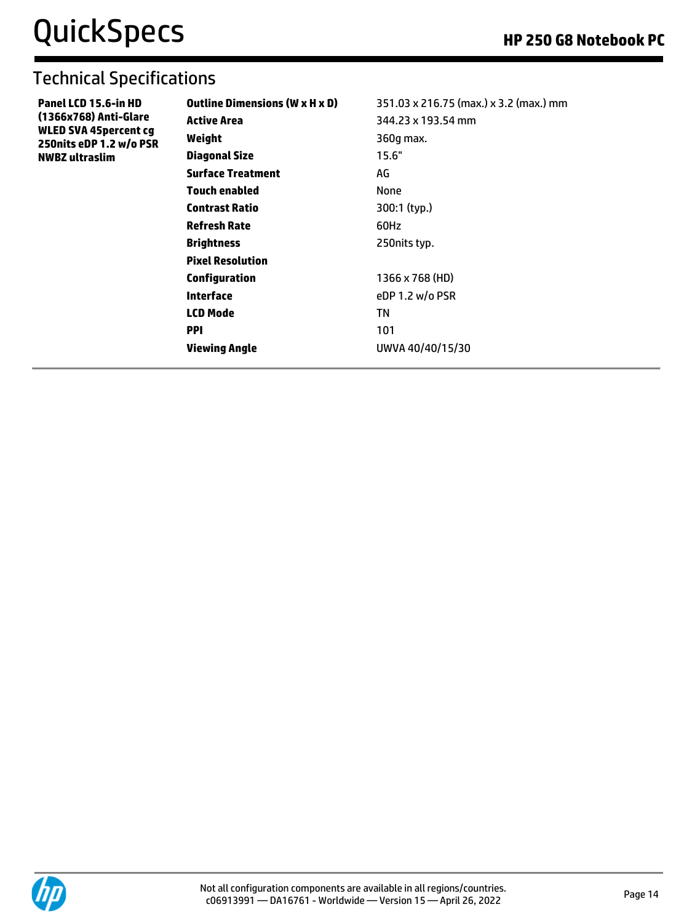| Panel LCD 15.6-in HD         |
|------------------------------|
| (1366x768) Anti-Glare        |
| <b>WLED SVA 45percent cg</b> |
| 250nits eDP 1.2 w/o PSR      |
| <b>NWBZ</b> ultraslim        |

| <b>Outline Dimensions (W x H x D)</b> | 351.03 x 216.75 (max.) x 3.2 (max.) mm |
|---------------------------------------|----------------------------------------|
| Active Area                           | 344.23 x 193.54 mm                     |
| Weight                                | 360q max.                              |
| Diagonal Size                         | 15.6"                                  |
| <b>Surface Treatment</b>              | AG                                     |
| Touch enabled                         | None                                   |
| <b>Contrast Ratio</b>                 | 300:1 (typ.)                           |
| <b>Refresh Rate</b>                   | 60Hz                                   |
| <b>Brightness</b>                     | 250 nits typ.                          |
| <b>Pixel Resolution</b>               |                                        |
| Configuration                         | 1366 x 768 (HD)                        |
| Interface                             | eDP 1.2 $w$ /o PSR                     |
| <b>LCD Mode</b>                       | ΤN                                     |
| <b>PPI</b>                            | 101                                    |
| Viewing Angle                         | UWVA 40/40/15/30                       |
|                                       |                                        |

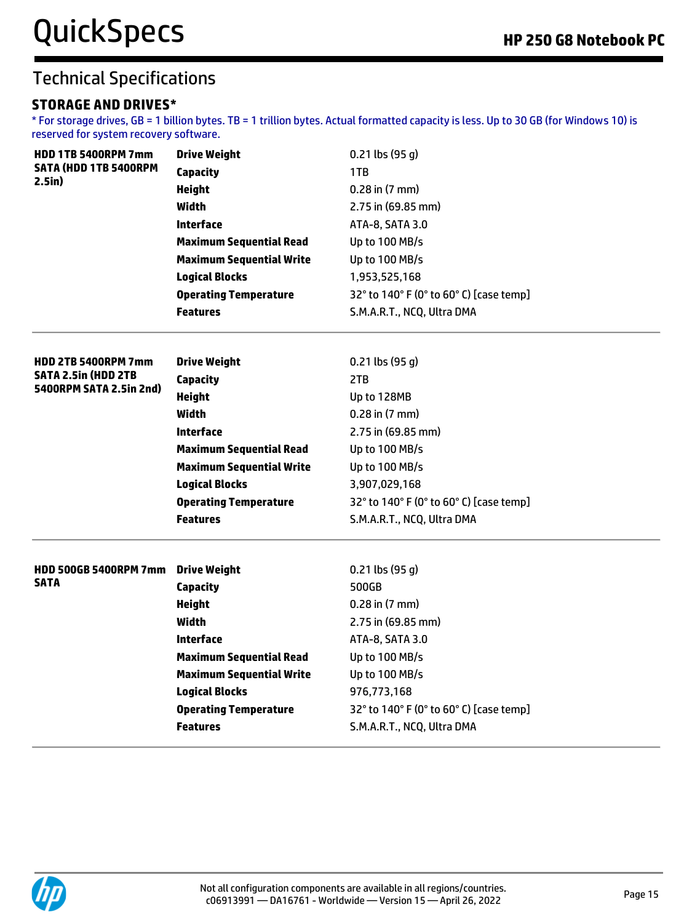#### **STORAGE AND DRIVES\***

\* For storage drives, GB = 1 billion bytes. TB = 1 trillion bytes. Actual formatted capacity is less. Up to 30 GB (for Windows 10) is reserved for system recovery software.

| <b>HDD 1TB 5400RPM 7mm</b>   | <b>Drive Weight</b>             | $0.21$ lbs (95 g)                       |
|------------------------------|---------------------------------|-----------------------------------------|
| <b>SATA (HDD 1TB 5400RPM</b> | Capacity                        | 1TB                                     |
| $2.5$ in $)$                 | <b>Height</b>                   | $0.28$ in $(7$ mm $)$                   |
|                              | <b>Width</b>                    | 2.75 in (69.85 mm)                      |
|                              | <b>Interface</b>                | ATA-8, SATA 3.0                         |
|                              | <b>Maximum Sequential Read</b>  | Up to 100 MB/s                          |
|                              | <b>Maximum Sequential Write</b> | Up to 100 MB/s                          |
|                              | <b>Logical Blocks</b>           | 1,953,525,168                           |
|                              | <b>Operating Temperature</b>    | 32° to 140° F (0° to 60° C) [case temp] |
|                              | <b>Features</b>                 | S.M.A.R.T., NCQ, Ultra DMA              |
| <b>HDD 2TB 5400RPM 7mm</b>   | <b>Drive Weight</b>             | $0.21$ lbs (95 g)                       |
| <b>SATA 2.5in (HDD 2TB</b>   | <b>Capacity</b>                 | 2TB                                     |
| 5400RPM SATA 2.5in 2nd)      | <b>Height</b>                   | Up to 128MB                             |
|                              | Width                           | $0.28$ in $(7$ mm $)$                   |
|                              | <b>Interface</b>                | 2.75 in (69.85 mm)                      |
|                              | <b>Maximum Sequential Read</b>  | Up to 100 MB/s                          |
|                              | <b>Maximum Sequential Write</b> | Up to 100 MB/s                          |
|                              | <b>Logical Blocks</b>           | 3,907,029,168                           |
|                              | <b>Operating Temperature</b>    | 32° to 140° F (0° to 60° C) [case temp] |
|                              | <b>Features</b>                 | S.M.A.R.T., NCQ, Ultra DMA              |
| <b>HDD 500GB 5400RPM 7mm</b> | <b>Drive Weight</b>             | $0.21$ lbs (95 g)                       |
| <b>SATA</b>                  | <b>Capacity</b>                 | 500GB                                   |
|                              | <b>Height</b>                   | $0.28$ in $(7$ mm $)$                   |
|                              | <b>Width</b>                    | 2.75 in (69.85 mm)                      |
|                              | <b>Interface</b>                | ATA-8, SATA 3.0                         |
|                              | <b>Maximum Sequential Read</b>  | Up to 100 MB/s                          |
|                              | <b>Maximum Sequential Write</b> | Up to 100 MB/s                          |
|                              | <b>Logical Blocks</b>           | 976,773,168                             |
|                              | <b>Operating Temperature</b>    | 32° to 140° F (0° to 60° C) [case temp] |
|                              | <b>Features</b>                 | S.M.A.R.T., NCQ, Ultra DMA              |
|                              |                                 |                                         |

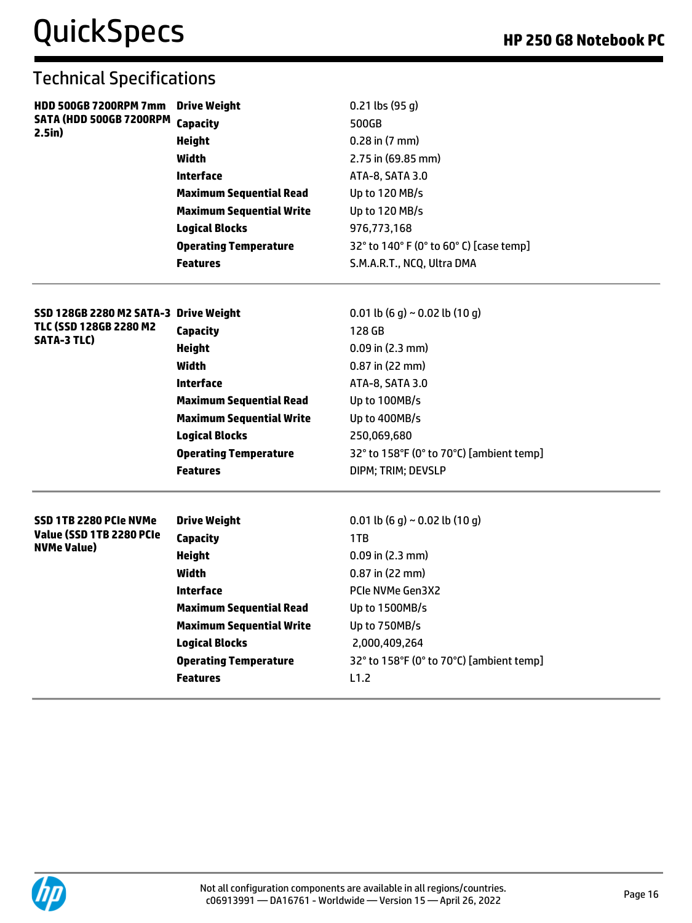| <b>HDD 500GB 7200RPM 7mm</b>                   | <b>Drive Weight</b>             | $0.21$ lbs (95 g)                        |
|------------------------------------------------|---------------------------------|------------------------------------------|
| SATA (HDD 500GB 7200RPM<br>2.5in)              | <b>Capacity</b>                 | 500GB                                    |
|                                                | <b>Height</b>                   | $0.28$ in $(7$ mm $)$                    |
|                                                | Width                           | $2.75$ in (69.85 mm)                     |
|                                                | Interface                       | ATA-8, SATA 3.0                          |
|                                                | <b>Maximum Sequential Read</b>  | Up to 120 MB/s                           |
|                                                | <b>Maximum Sequential Write</b> | Up to 120 MB/s                           |
|                                                | <b>Logical Blocks</b>           | 976,773,168                              |
|                                                | <b>Operating Temperature</b>    | 32° to 140° F (0° to 60° C) [case temp]  |
|                                                | <b>Features</b>                 | S.M.A.R.T., NCQ, Ultra DMA               |
| SSD 128GB 2280 M2 SATA-3 Drive Weight          |                                 | 0.01 lb (6 g) ~ 0.02 lb (10 g)           |
| TLC (SSD 128GB 2280 M2                         | Capacity                        | 128 GB                                   |
| <b>SATA-3 TLC)</b>                             | <b>Height</b>                   | $0.09$ in $(2.3 \text{ mm})$             |
|                                                | Width                           | 0.87 in (22 mm)                          |
|                                                | Interface                       | ATA-8, SATA 3.0                          |
|                                                | <b>Maximum Sequential Read</b>  | Up to 100MB/s                            |
|                                                | <b>Maximum Sequential Write</b> | Up to 400MB/s                            |
|                                                | <b>Logical Blocks</b>           | 250,069,680                              |
|                                                | <b>Operating Temperature</b>    | 32° to 158°F (0° to 70°C) [ambient temp] |
|                                                | <b>Features</b>                 | DIPM; TRIM; DEVSLP                       |
| SSD 1TB 2280 PCIe NVMe                         | <b>Drive Weight</b>             | 0.01 lb (6 g) ~ 0.02 lb (10 g)           |
| Value (SSD 1TB 2280 PCIe<br><b>NVMe Value)</b> | Capacity                        | 1TB                                      |
|                                                | <b>Height</b>                   | $0.09$ in $(2.3$ mm)                     |
|                                                | Width                           | $0.87$ in (22 mm)                        |
|                                                | <b>Interface</b>                | <b>PCIe NVMe Gen3X2</b>                  |
|                                                | <b>Maximum Sequential Read</b>  | Up to 1500MB/s                           |
|                                                | <b>Maximum Sequential Write</b> | Up to 750MB/s                            |
|                                                | <b>Logical Blocks</b>           | 2,000,409,264                            |
|                                                | <b>Operating Temperature</b>    | 32° to 158°F (0° to 70°C) [ambient temp] |
|                                                | <b>Features</b>                 | L1.2                                     |
|                                                |                                 |                                          |

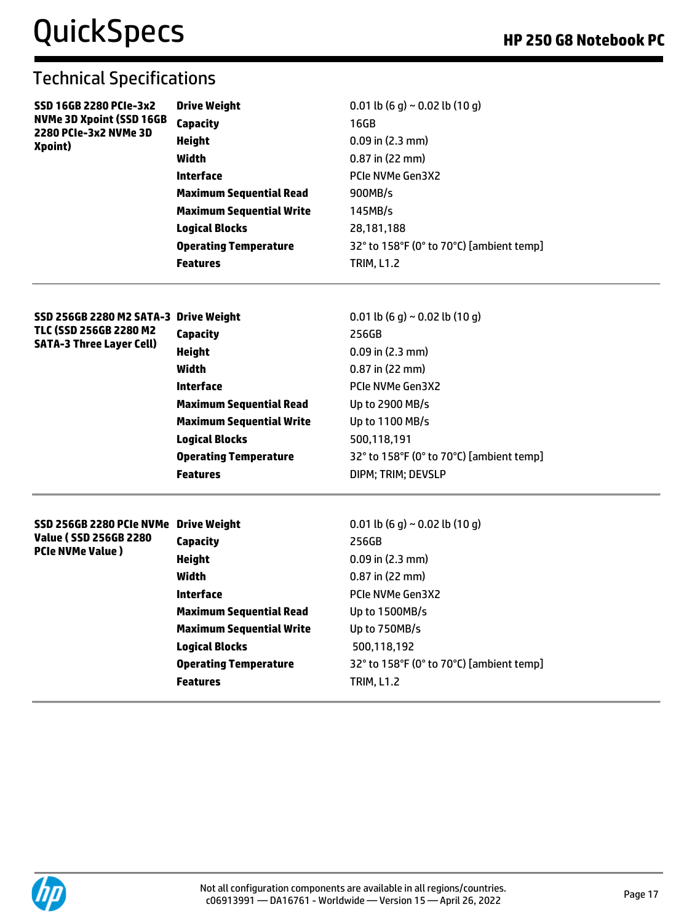| SSD 16GB 2280 PCIe-3x2<br><b>NVMe 3D Xpoint (SSD 16GB</b> | <b>Drive Weight</b>             | 0.01 lb $(6 q) \sim 0.02$ lb $(10 q)$    |
|-----------------------------------------------------------|---------------------------------|------------------------------------------|
|                                                           | Capacity                        | 16GB                                     |
| 2280 PCIe-3x2 NVMe 3D<br>Xpoint)                          | <b>Height</b>                   | $0.09$ in (2.3 mm)                       |
|                                                           | Width                           | $0.87$ in (22 mm)                        |
|                                                           | Interface                       | PCIe NVMe Gen3X2                         |
|                                                           | <b>Maximum Sequential Read</b>  | 900MB/s                                  |
|                                                           | <b>Maximum Sequential Write</b> | 145MB/s                                  |
|                                                           | <b>Logical Blocks</b>           | 28,181,188                               |
|                                                           | <b>Operating Temperature</b>    | 32° to 158°F (0° to 70°C) [ambient temp] |
|                                                           | <b>Features</b>                 | <b>TRIM, L1.2</b>                        |
|                                                           |                                 |                                          |

| SSD 256GB 2280 M2 SATA-3 Drive Weight |                                 | 0.01 lb (6 q) ~ 0.02 lb (10 q)           |
|---------------------------------------|---------------------------------|------------------------------------------|
| TLC (SSD 256GB 2280 M2                | Capacity                        | 256GB                                    |
| <b>SATA-3 Three Layer Cell)</b>       | Height                          | $0.09$ in (2.3 mm)                       |
|                                       | Width                           | $0.87$ in (22 mm)                        |
|                                       | <b>Interface</b>                | PCIe NVMe Gen3X2                         |
|                                       | <b>Maximum Sequential Read</b>  | Up to 2900 MB/s                          |
|                                       | <b>Maximum Sequential Write</b> | Up to 1100 MB/s                          |
|                                       | <b>Logical Blocks</b>           | 500,118,191                              |
|                                       | <b>Operating Temperature</b>    | 32° to 158°F (0° to 70°C) [ambient temp] |
|                                       | <b>Features</b>                 | DIPM: TRIM: DEVSLP                       |
|                                       |                                 |                                          |
|                                       |                                 |                                          |

| SSD 256GB 2280 PCIe NVMe Drive Weight |                                 | 0.01 lb $(6 q) \sim 0.02$ lb $(10 q)$    |
|---------------------------------------|---------------------------------|------------------------------------------|
| Value ( SSD 256GB 2280                | Capacity                        | 256GB                                    |
| <b>PCIe NVMe Value</b> )              | Height                          | $0.09$ in $(2.3$ mm)                     |
|                                       | Width                           | $0.87$ in (22 mm)                        |
|                                       | Interface                       | <b>PCIe NVMe Gen3X2</b>                  |
|                                       | <b>Maximum Sequential Read</b>  | Up to 1500MB/s                           |
|                                       | <b>Maximum Sequential Write</b> | Up to 750MB/s                            |
|                                       | <b>Logical Blocks</b>           | 500,118,192                              |
|                                       | <b>Operating Temperature</b>    | 32° to 158°F (0° to 70°C) [ambient temp] |
|                                       | <b>Features</b>                 | <b>TRIM, L1.2</b>                        |

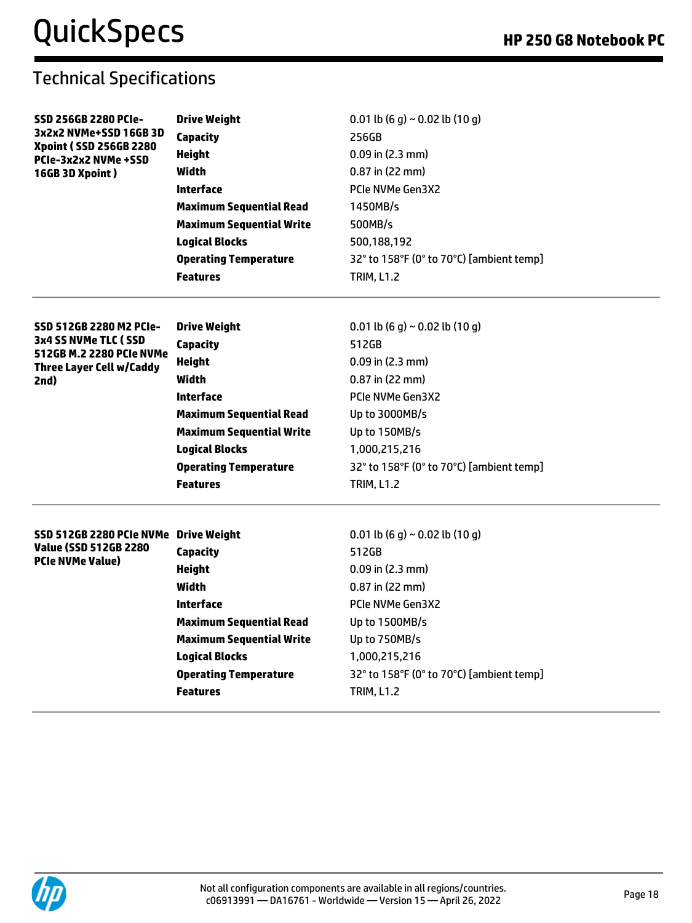| <b>SSD 256GB 2280 PCIe-</b>                                 | <b>Drive Weight</b>             | 0.01 lb (6 g) ~ 0.02 lb (10 g)           |
|-------------------------------------------------------------|---------------------------------|------------------------------------------|
| 3x2x2 NVMe+SSD 16GB 3D<br><b>Xpoint (SSD 256GB 2280)</b>    | <b>Capacity</b>                 | 256GB                                    |
| PCIe-3x2x2 NVMe +SSD                                        | Height                          | $0.09$ in $(2.3 \text{ mm})$             |
| 16GB 3D Xpoint)                                             | Width                           | $0.87$ in (22 mm)                        |
|                                                             | <b>Interface</b>                | PCIe NVMe Gen3X2                         |
|                                                             | <b>Maximum Sequential Read</b>  | 1450MB/s                                 |
|                                                             | <b>Maximum Sequential Write</b> | 500MB/s                                  |
|                                                             | <b>Logical Blocks</b>           | 500,188,192                              |
|                                                             | <b>Operating Temperature</b>    | 32° to 158°F (0° to 70°C) [ambient temp] |
|                                                             | <b>Features</b>                 | <b>TRIM, L1.2</b>                        |
| SSD 512GB 2280 M2 PCIe-                                     | <b>Drive Weight</b>             | 0.01 lb (6 g) ~ 0.02 lb (10 g)           |
| 3x4 SS NVMe TLC (SSD                                        | <b>Capacity</b>                 | 512GB                                    |
| 512GB M.2 2280 PCIe NVMe<br><b>Three Layer Cell w/Caddy</b> | <b>Height</b>                   | $0.09$ in $(2.3 \text{ mm})$             |
| 2nd)                                                        | Width                           | $0.87$ in (22 mm)                        |
|                                                             | <b>Interface</b>                | <b>PCIe NVMe Gen3X2</b>                  |
|                                                             | <b>Maximum Sequential Read</b>  | Up to 3000MB/s                           |
|                                                             | <b>Maximum Sequential Write</b> | Up to 150MB/s                            |
|                                                             | <b>Logical Blocks</b>           | 1,000,215,216                            |
|                                                             | <b>Operating Temperature</b>    | 32° to 158°F (0° to 70°C) [ambient temp] |
|                                                             | <b>Features</b>                 | <b>TRIM, L1.2</b>                        |
| SSD 512GB 2280 PCIe NVMe Drive Weight                       |                                 | 0.01 lb (6 g) ~ 0.02 lb (10 g)           |
| <b>Value (SSD 512GB 2280</b>                                | <b>Capacity</b>                 | 512GB                                    |
| <b>PCIe NVMe Value)</b>                                     | Height                          | $0.09$ in $(2.3 \text{ mm})$             |
|                                                             | <b>Width</b>                    | $0.87$ in (22 mm)                        |
|                                                             | <b>Interface</b>                | PCIe NVMe Gen3X2                         |
|                                                             | <b>Maximum Sequential Read</b>  | Up to 1500MB/s                           |
|                                                             | <b>Maximum Sequential Write</b> | Up to 750MB/s                            |
|                                                             | <b>Logical Blocks</b>           | 1,000,215,216                            |
|                                                             | <b>Operating Temperature</b>    | 32° to 158°F (0° to 70°C) [ambient temp] |
|                                                             | <b>Features</b>                 | <b>TRIM, L1.2</b>                        |
|                                                             |                                 |                                          |

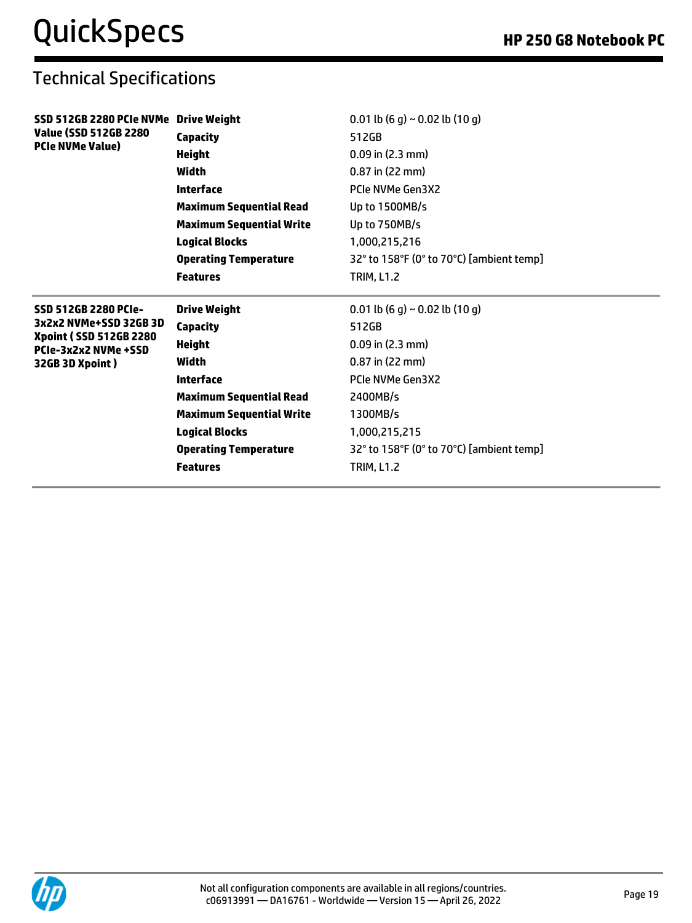| SSD 512GB 2280 PCIe NVMe Drive Weight                  |                                 | 0.01 lb (6 g) ~ 0.02 lb (10 g)           |
|--------------------------------------------------------|---------------------------------|------------------------------------------|
| Value (SSD 512GB 2280)<br><b>PCIe NVMe Value)</b>      | Capacity                        | 512GB                                    |
|                                                        | <b>Height</b>                   | $0.09$ in $(2.3$ mm)                     |
|                                                        | <b>Width</b>                    | $0.87$ in (22 mm)                        |
|                                                        | <b>Interface</b>                | PCIe NVMe Gen3X2                         |
|                                                        | <b>Maximum Sequential Read</b>  | Up to 1500MB/s                           |
|                                                        | <b>Maximum Sequential Write</b> | Up to 750MB/s                            |
|                                                        | <b>Logical Blocks</b>           | 1,000,215,216                            |
|                                                        | <b>Operating Temperature</b>    | 32° to 158°F (0° to 70°C) [ambient temp] |
|                                                        | <b>Features</b>                 | <b>TRIM, L1.2</b>                        |
| SSD 512GB 2280 PCIe-                                   | <b>Drive Weight</b>             | 0.01 lb (6 g) ~ 0.02 lb (10 g)           |
| 3x2x2 NVMe+SSD 32GB 3D                                 | Capacity                        | 512GB                                    |
| <b>Xpoint (SSD 512GB 2280)</b><br>PCIe-3x2x2 NVMe +SSD | <b>Height</b>                   | $0.09$ in $(2.3$ mm)                     |
| 32GB 3D Xpoint)                                        | Width                           | $0.87$ in (22 mm)                        |
|                                                        | <b>Interface</b>                | PCIe NVMe Gen3X2                         |
|                                                        | <b>Maximum Sequential Read</b>  | 2400MB/s                                 |
|                                                        | <b>Maximum Sequential Write</b> | 1300MB/s                                 |
|                                                        |                                 |                                          |
|                                                        | <b>Logical Blocks</b>           | 1,000,215,215                            |
|                                                        | <b>Operating Temperature</b>    | 32° to 158°F (0° to 70°C) [ambient temp] |

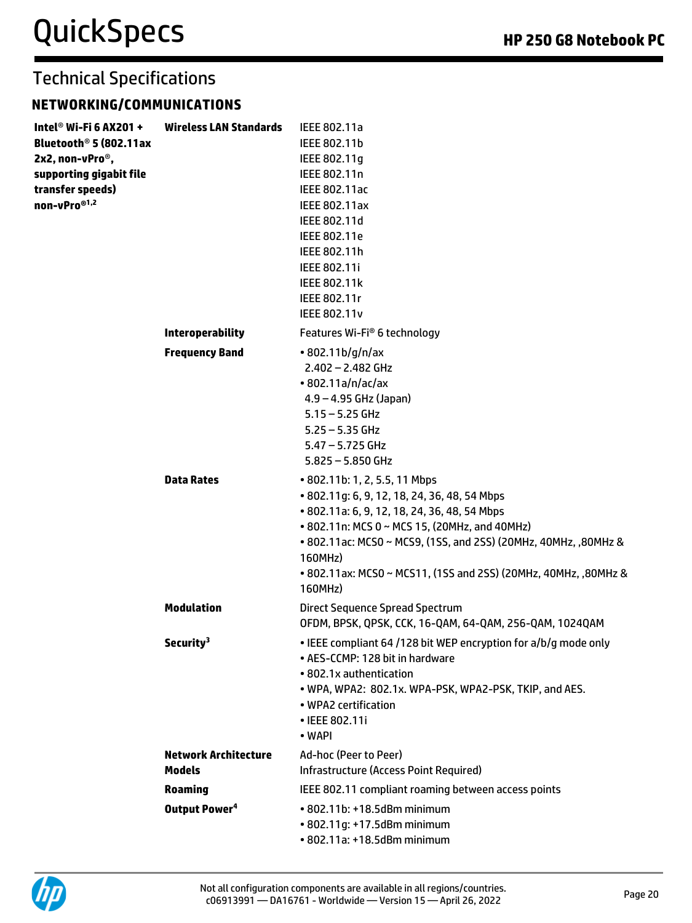### **NETWORKING/COMMUNICATIONS**

| Intel <sup>®</sup> Wi-Fi 6 AX201 + | <b>Wireless LAN Standards</b> | IEEE 802.11a                                                    |
|------------------------------------|-------------------------------|-----------------------------------------------------------------|
| Bluetooth <sup>®</sup> 5 (802.11ax |                               | IEEE 802.11b                                                    |
| 2x2, non-vPro <sup>®</sup> ,       |                               | IEEE 802.11q                                                    |
| supporting gigabit file            |                               | IEEE 802.11n                                                    |
| transfer speeds)                   |                               | IEEE 802.11ac                                                   |
| non-vPro®1,2                       |                               | IEEE 802.11ax                                                   |
|                                    |                               | IEEE 802.11d                                                    |
|                                    |                               | IEEE 802.11e                                                    |
|                                    |                               | IEEE 802.11h                                                    |
|                                    |                               | IEEE 802.11i                                                    |
|                                    |                               | <b>IEEE 802.11k</b>                                             |
|                                    |                               | IEEE 802.11r                                                    |
|                                    |                               | <b>IEEE 802.11v</b>                                             |
|                                    | <b>Interoperability</b>       | Features Wi-Fi® 6 technology                                    |
|                                    | <b>Frequency Band</b>         | $\cdot$ 802.11b/g/n/ax                                          |
|                                    |                               | $2.402 - 2.482$ GHz                                             |
|                                    |                               | $\cdot$ 802.11a/n/ac/ax                                         |
|                                    |                               | $4.9 - 4.95$ GHz (Japan)                                        |
|                                    |                               | $5.15 - 5.25$ GHz                                               |
|                                    |                               | $5.25 - 5.35$ GHz                                               |
|                                    |                               | $5.47 - 5.725$ GHz                                              |
|                                    |                               | $5.825 - 5.850$ GHz                                             |
|                                    | <b>Data Rates</b>             | • 802.11b: 1, 2, 5.5, 11 Mbps                                   |
|                                    |                               | • 802.11g: 6, 9, 12, 18, 24, 36, 48, 54 Mbps                    |
|                                    |                               | • 802.11a: 6, 9, 12, 18, 24, 36, 48, 54 Mbps                    |
|                                    |                               | • 802.11n: MCS 0 ~ MCS 15, (20MHz, and 40MHz)                   |
|                                    |                               | • 802.11ac: MCS0 ~ MCS9, (1SS, and 2SS) (20MHz, 40MHz, ,80MHz & |
|                                    |                               | 160MHz)                                                         |
|                                    |                               | • 802.11ax: MCS0 ~ MCS11, (1SS and 2SS) (20MHz, 40MHz, ,80MHz & |
|                                    |                               | 160MHz)                                                         |
|                                    |                               |                                                                 |
|                                    | <b>Modulation</b>             | Direct Sequence Spread Spectrum                                 |
|                                    |                               | OFDM, BPSK, QPSK, CCK, 16-QAM, 64-QAM, 256-QAM, 1024QAM         |
|                                    | Security <sup>3</sup>         | . IEEE compliant 64 /128 bit WEP encryption for a/b/g mode only |
|                                    |                               | • AES-CCMP: 128 bit in hardware                                 |
|                                    |                               | • 802.1x authentication                                         |
|                                    |                               | . WPA, WPA2: 802.1x. WPA-PSK, WPA2-PSK, TKIP, and AES.          |
|                                    |                               | • WPA2 certification                                            |
|                                    |                               | • IEEE 802.11i                                                  |
|                                    |                               | • WAPI                                                          |
|                                    | <b>Network Architecture</b>   | Ad-hoc (Peer to Peer)                                           |
|                                    | <b>Models</b>                 | Infrastructure (Access Point Required)                          |
|                                    | <b>Roaming</b>                | IEEE 802.11 compliant roaming between access points             |
|                                    | Output Power <sup>4</sup>     | • 802.11b: +18.5dBm minimum                                     |
|                                    |                               | • 802.11g: +17.5dBm minimum                                     |
|                                    |                               | • 802.11a: +18.5dBm minimum                                     |

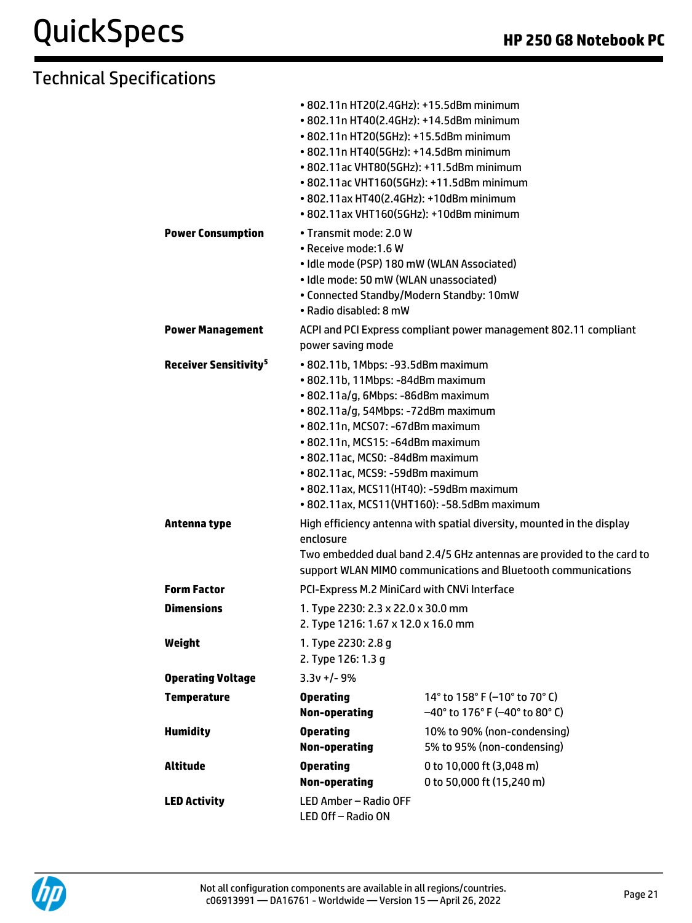## QuickSpecs **Apple 250 G8 Notebook PC**

|                                         | • 802.11n HT20(2.4GHz): +15.5dBm minimum<br>• 802.11n HT40(2.4GHz): +14.5dBm minimum<br>• 802.11n HT20(5GHz): +15.5dBm minimum<br>• 802.11n HT40(5GHz): +14.5dBm minimum<br>• 802.11ac VHT80(5GHz): +11.5dBm minimum<br>• 802.11ac VHT160(5GHz): +11.5dBm minimum<br>• 802.11ax HT40(2.4GHz): +10dBm minimum<br>• 802.11ax VHT160(5GHz): +10dBm minimum                                        |                                                                          |
|-----------------------------------------|------------------------------------------------------------------------------------------------------------------------------------------------------------------------------------------------------------------------------------------------------------------------------------------------------------------------------------------------------------------------------------------------|--------------------------------------------------------------------------|
| <b>Power Consumption</b>                | • Transmit mode: 2.0 W<br>• Receive mode: 1.6 W<br>· Idle mode (PSP) 180 mW (WLAN Associated)<br>· Idle mode: 50 mW (WLAN unassociated)<br>• Connected Standby/Modern Standby: 10mW<br>• Radio disabled: 8 mW                                                                                                                                                                                  |                                                                          |
| <b>Power Management</b>                 | ACPI and PCI Express compliant power management 802.11 compliant<br>power saving mode                                                                                                                                                                                                                                                                                                          |                                                                          |
| <b>Receiver Sensitivity<sup>5</sup></b> | • 802.11b, 1Mbps: -93.5dBm maximum<br>• 802.11b, 11Mbps: -84dBm maximum<br>· 802.11a/g, 6Mbps: -86dBm maximum<br>· 802.11a/g, 54Mbps: -72dBm maximum<br>• 802.11n, MCS07: -67dBm maximum<br>• 802.11n, MCS15: -64dBm maximum<br>• 802.11ac, MCS0: -84dBm maximum<br>· 802.11ac, MCS9: -59dBm maximum<br>• 802.11ax, MCS11(HT40): -59dBm maximum<br>• 802.11ax, MCS11(VHT160): -58.5dBm maximum |                                                                          |
| Antenna type                            | High efficiency antenna with spatial diversity, mounted in the display<br>enclosure<br>Two embedded dual band 2.4/5 GHz antennas are provided to the card to<br>support WLAN MIMO communications and Bluetooth communications                                                                                                                                                                  |                                                                          |
| <b>Form Factor</b>                      | PCI-Express M.2 MiniCard with CNVi Interface                                                                                                                                                                                                                                                                                                                                                   |                                                                          |
| <b>Dimensions</b>                       | 1. Type 2230: 2.3 x 22.0 x 30.0 mm<br>2. Type 1216: 1.67 x 12.0 x 16.0 mm                                                                                                                                                                                                                                                                                                                      |                                                                          |
| Weight                                  | 1. Type 2230: 2.8 q<br>2. Type 126: 1.3 g                                                                                                                                                                                                                                                                                                                                                      |                                                                          |
| <b>Operating Voltage</b>                | $3.3v + 1 - 9%$                                                                                                                                                                                                                                                                                                                                                                                |                                                                          |
| <b>Temperature</b>                      | <b>Operating</b><br>Non-operating                                                                                                                                                                                                                                                                                                                                                              | 14° to 158° F (-10° to 70° C)<br>$-40^{\circ}$ to 176° F (-40° to 80° C) |
| <b>Humidity</b>                         | <b>Operating</b><br><b>Non-operating</b>                                                                                                                                                                                                                                                                                                                                                       | 10% to 90% (non-condensing)<br>5% to 95% (non-condensing)                |
| <b>Altitude</b>                         | <b>Operating</b><br>Non-operating                                                                                                                                                                                                                                                                                                                                                              | 0 to 10,000 ft (3,048 m)<br>0 to 50,000 ft (15,240 m)                    |
| <b>LED Activity</b>                     | LED Amber - Radio OFF<br>LED Off-Radio ON                                                                                                                                                                                                                                                                                                                                                      |                                                                          |

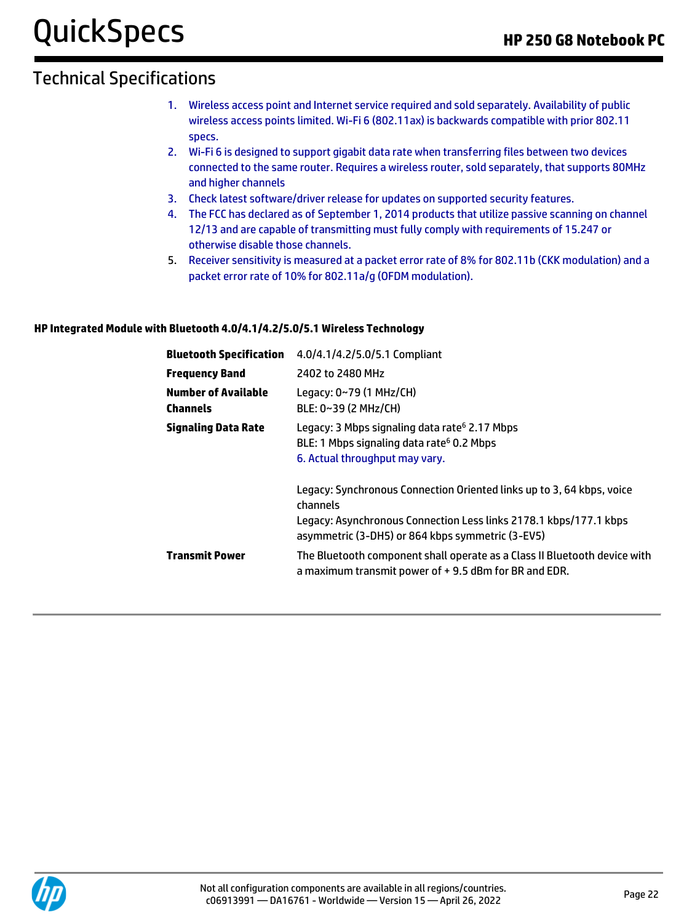- 1. Wireless access point and Internet service required and sold separately. Availability of public wireless access points limited. Wi-Fi 6 (802.11ax) is backwards compatible with prior 802.11 specs.
- 2. Wi-Fi 6 is designed to support gigabit data rate when transferring files between two devices connected to the same router. Requires a wireless router, sold separately, that supports 80MHz and higher channels
- 3. Check latest software/driver release for updates on supported security features.
- 4. The FCC has declared as of September 1, 2014 products that utilize passive scanning on channel 12/13 and are capable of transmitting must fully comply with requirements of 15.247 or otherwise disable those channels.
- 5. Receiver sensitivity is measured at a packet error rate of 8% for 802.11b (CKK modulation) and a packet error rate of 10% for 802.11a/g (OFDM modulation).

#### **HP Integrated Module with Bluetooth 4.0/4.1/4.2/5.0/5.1 Wireless Technology**

| <b>Bluetooth Specification</b>                | 4.0/4.1/4.2/5.0/5.1 Compliant                                                                                                                                                                              |
|-----------------------------------------------|------------------------------------------------------------------------------------------------------------------------------------------------------------------------------------------------------------|
| <b>Frequency Band</b>                         | 2402 to 2480 MHz                                                                                                                                                                                           |
| <b>Number of Available</b><br><b>Channels</b> | Legacy: $0~79$ (1 MHz/CH)<br>BLE: 0~39 (2 MHz/CH)                                                                                                                                                          |
| <b>Signaling Data Rate</b>                    | Legacy: 3 Mbps signaling data rate <sup>6</sup> 2.17 Mbps<br>BLE: 1 Mbps signaling data rate <sup>6</sup> 0.2 Mbps<br>6. Actual throughput may vary.                                                       |
|                                               | Legacy: Synchronous Connection Oriented links up to 3, 64 kbps, voice<br>channels<br>Legacy: Asynchronous Connection Less links 2178.1 kbps/177.1 kbps<br>asymmetric (3-DH5) or 864 kbps symmetric (3-EV5) |
| <b>Transmit Power</b>                         | The Bluetooth component shall operate as a Class II Bluetooth device with<br>a maximum transmit power of $+$ 9.5 dBm for BR and EDR.                                                                       |

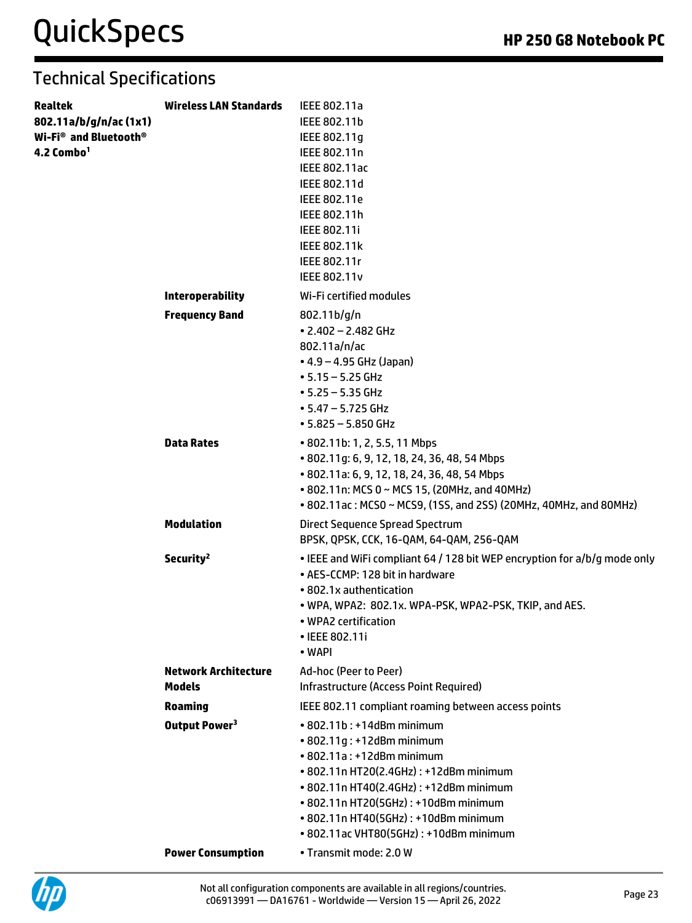| <b>Realtek</b><br>802.11a/b/g/n/ac(1x1)<br>Wi-Fi <sup>®</sup> and Bluetooth <sup>®</sup><br>4.2 Combo <sup>1</sup> | <b>Wireless LAN Standards</b> | IEEE 802.11a<br>IEEE 802.11b<br>IEEE 802.11g<br>IEEE 802.11n<br>IEEE 802.11ac<br>IEEE 802.11d<br>IEEE 802.11e<br>IEEE 802.11h<br>IEEE 802.11i<br>IEEE 802.11k<br>IEEE 802.11r<br><b>IEEE 802.11v</b>                                                                                                                               |
|--------------------------------------------------------------------------------------------------------------------|-------------------------------|------------------------------------------------------------------------------------------------------------------------------------------------------------------------------------------------------------------------------------------------------------------------------------------------------------------------------------|
|                                                                                                                    | <b>Interoperability</b>       | Wi-Fi certified modules                                                                                                                                                                                                                                                                                                            |
|                                                                                                                    | <b>Frequency Band</b>         | 802.11 <sub>b/g/n</sub><br>$\cdot$ 2.402 - 2.482 GHz<br>802.11a/n/ac<br>$\bullet$ 4.9 – 4.95 GHz (Japan)<br>$• 5.15 - 5.25$ GHz<br>$• 5.25 - 5.35$ GHz<br>$\cdot$ 5.47 - 5.725 GHz<br>$• 5.825 - 5.850$ GHz                                                                                                                        |
|                                                                                                                    | <b>Data Rates</b>             | • 802.11b: 1, 2, 5.5, 11 Mbps<br>• 802.11g: 6, 9, 12, 18, 24, 36, 48, 54 Mbps<br>• 802.11a: 6, 9, 12, 18, 24, 36, 48, 54 Mbps<br>• 802.11n: MCS 0 ~ MCS 15, (20MHz, and 40MHz)<br>• 802.11ac: MCS0 ~ MCS9, (1SS, and 2SS) (20MHz, 40MHz, and 80MHz)                                                                                |
|                                                                                                                    | <b>Modulation</b>             | Direct Sequence Spread Spectrum<br>BPSK, QPSK, CCK, 16-QAM, 64-QAM, 256-QAM                                                                                                                                                                                                                                                        |
|                                                                                                                    | Security <sup>2</sup>         | • IEEE and WiFi compliant 64 / 128 bit WEP encryption for a/b/g mode only<br>• AES-CCMP: 128 bit in hardware<br>• 802.1x authentication<br>. WPA, WPA2: 802.1x. WPA-PSK, WPA2-PSK, TKIP, and AES.<br>• WPA2 certification<br>• IEEE 802.11i<br>• WAPI                                                                              |
|                                                                                                                    | <b>Network Architecture</b>   | Ad-hoc (Peer to Peer)                                                                                                                                                                                                                                                                                                              |
|                                                                                                                    | <b>Models</b>                 | Infrastructure (Access Point Required)                                                                                                                                                                                                                                                                                             |
|                                                                                                                    | <b>Roaming</b>                | IEEE 802.11 compliant roaming between access points                                                                                                                                                                                                                                                                                |
|                                                                                                                    | Output Power <sup>3</sup>     | • 802.11b: +14dBm minimum<br>• 802.11g: +12dBm minimum<br>$\cdot$ 802.11a : +12dBm minimum<br>• 802.11n HT20(2.4GHz): +12dBm minimum<br>• 802.11n HT40(2.4GHz): +12dBm minimum<br>• 802.11n HT20(5GHz): +10dBm minimum<br>• 802.11n HT40(5GHz): +10dBm minimum<br>• 802.11ac VHT80(5GHz): +10dBm minimum<br>• Transmit mode: 2.0 W |
|                                                                                                                    | <b>Power Consumption</b>      |                                                                                                                                                                                                                                                                                                                                    |

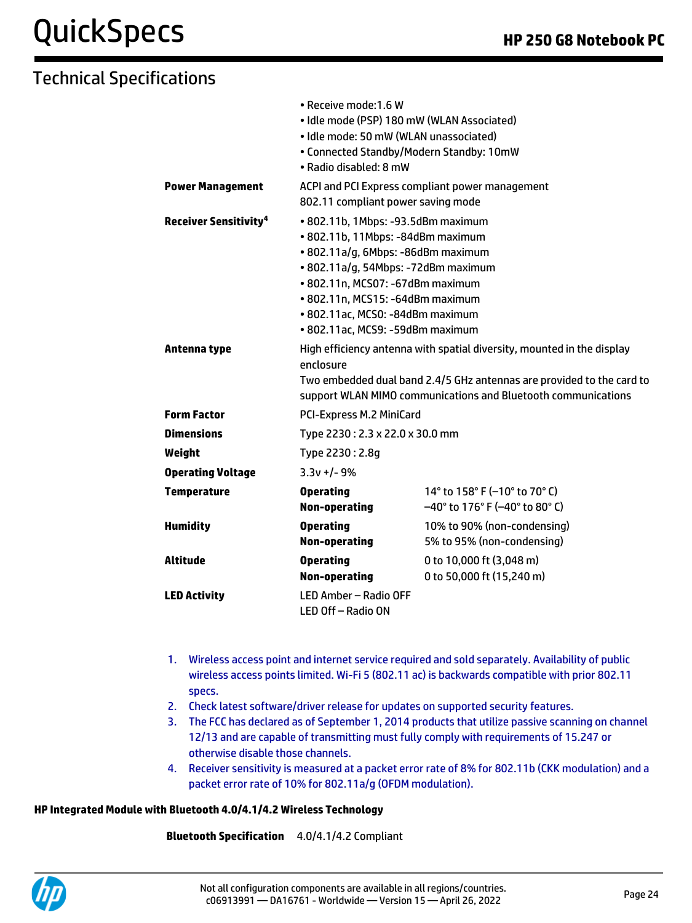## QuickSpecs **HP 250 G8 Notebook PC**

## Technical Specifications

|                                                         | • Receive mode: 1.6 W<br>· Idle mode (PSP) 180 mW (WLAN Associated)<br>· Idle mode: 50 mW (WLAN unassociated)<br>• Connected Standby/Modern Standby: 10mW<br>• Radio disabled: 8 mW                                                                                                                                                                                            |                                                                                                                                        |  |
|---------------------------------------------------------|--------------------------------------------------------------------------------------------------------------------------------------------------------------------------------------------------------------------------------------------------------------------------------------------------------------------------------------------------------------------------------|----------------------------------------------------------------------------------------------------------------------------------------|--|
| <b>Power Management</b>                                 | ACPI and PCI Express compliant power management<br>802.11 compliant power saving mode                                                                                                                                                                                                                                                                                          |                                                                                                                                        |  |
| <b>Receiver Sensitivity<sup>4</sup></b><br>Antenna type | • 802.11b, 1Mbps: -93.5dBm maximum<br>• 802.11b, 11Mbps: -84dBm maximum<br>• 802.11a/g, 6Mbps: -86dBm maximum<br>· 802.11a/g, 54Mbps: -72dBm maximum<br>• 802.11n, MCS07: -67dBm maximum<br>• 802.11n, MCS15: -64dBm maximum<br>· 802.11ac, MCS0: -84dBm maximum<br>· 802.11ac, MCS9: -59dBm maximum<br>High efficiency antenna with spatial diversity, mounted in the display |                                                                                                                                        |  |
|                                                         | enclosure                                                                                                                                                                                                                                                                                                                                                                      | Two embedded dual band 2.4/5 GHz antennas are provided to the card to<br>support WLAN MIMO communications and Bluetooth communications |  |
| <b>Form Factor</b>                                      | <b>PCI-Express M.2 MiniCard</b>                                                                                                                                                                                                                                                                                                                                                |                                                                                                                                        |  |
| <b>Dimensions</b>                                       | Type 2230: 2.3 x 22.0 x 30.0 mm                                                                                                                                                                                                                                                                                                                                                |                                                                                                                                        |  |
| Weight                                                  | Type 2230: 2.8g                                                                                                                                                                                                                                                                                                                                                                |                                                                                                                                        |  |
| <b>Operating Voltage</b>                                | $3.3v + 1 - 9%$                                                                                                                                                                                                                                                                                                                                                                |                                                                                                                                        |  |
| <b>Temperature</b>                                      | <b>Operating</b><br>Non-operating                                                                                                                                                                                                                                                                                                                                              | 14 $\degree$ to 158 $\degree$ F (-10 $\degree$ to 70 $\degree$ C)<br>$-40^{\circ}$ to 176° F (-40° to 80° C)                           |  |
| <b>Humidity</b>                                         | <b>Operating</b><br><b>Non-operating</b>                                                                                                                                                                                                                                                                                                                                       | 10% to 90% (non-condensing)<br>5% to 95% (non-condensing)                                                                              |  |
| <b>Altitude</b>                                         | <b>Operating</b><br><b>Non-operating</b>                                                                                                                                                                                                                                                                                                                                       | 0 to 10,000 ft (3,048 m)<br>0 to 50,000 ft (15,240 m)                                                                                  |  |
| <b>LED Activity</b>                                     | LED Amber - Radio OFF<br>LED Off-Radio ON                                                                                                                                                                                                                                                                                                                                      |                                                                                                                                        |  |

- 1. Wireless access point and internet service required and sold separately. Availability of public wireless access points limited. Wi-Fi 5 (802.11 ac) is backwards compatible with prior 802.11 specs.
- 2. Check latest software/driver release for updates on supported security features.
- 3. The FCC has declared as of September 1, 2014 products that utilize passive scanning on channel 12/13 and are capable of transmitting must fully comply with requirements of 15.247 or otherwise disable those channels.
- 4. Receiver sensitivity is measured at a packet error rate of 8% for 802.11b (CKK modulation) and a packet error rate of 10% for 802.11a/g (OFDM modulation).

#### **HP Integrated Module with Bluetooth 4.0/4.1/4.2 Wireless Technology**

**Bluetooth Specification** 4.0/4.1/4.2 Compliant

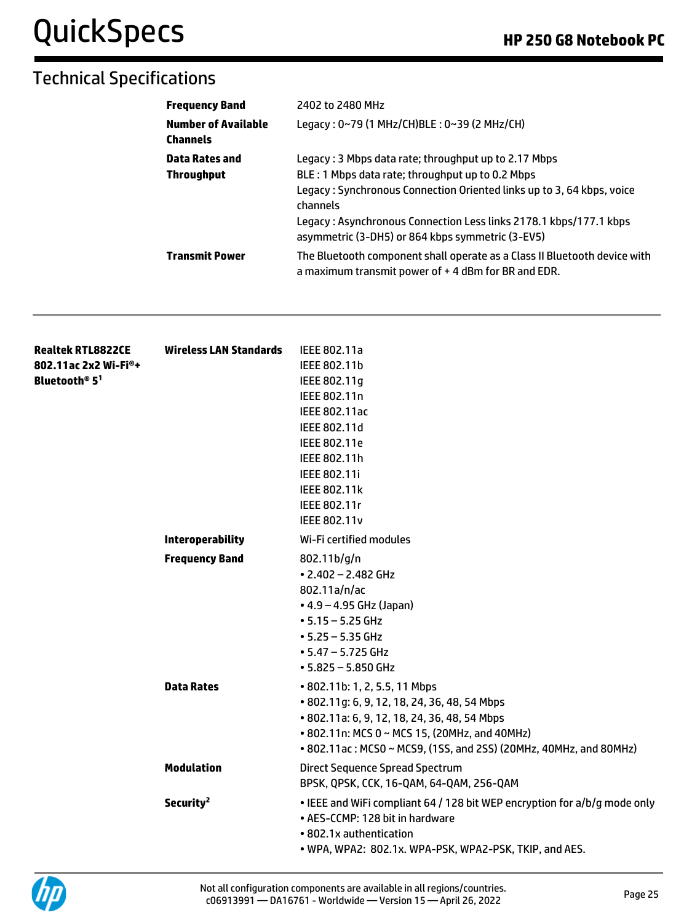| <b>Frequency Band</b>                         | 2402 to 2480 MHz                                                                                                                   |
|-----------------------------------------------|------------------------------------------------------------------------------------------------------------------------------------|
| <b>Number of Available</b><br><b>Channels</b> | Legacy: 0~79 (1 MHz/CH)BLE: 0~39 (2 MHz/CH)                                                                                        |
| <b>Data Rates and</b>                         | Legacy: 3 Mbps data rate; throughput up to 2.17 Mbps                                                                               |
| <b>Throughput</b>                             | BLE: 1 Mbps data rate; throughput up to 0.2 Mbps                                                                                   |
|                                               | Legacy: Synchronous Connection Oriented links up to 3, 64 kbps, voice<br>channels                                                  |
|                                               | Legacy: Asynchronous Connection Less links 2178.1 kbps/177.1 kbps<br>asymmetric (3-DH5) or 864 kbps symmetric (3-EV5)              |
| <b>Transmit Power</b>                         | The Bluetooth component shall operate as a Class II Bluetooth device with<br>a maximum transmit power of $+$ 4 dBm for BR and EDR. |

| <b>Realtek RTL8822CE</b>              | Wireless LAN Standards  | IEEE 802.11a                                                              |
|---------------------------------------|-------------------------|---------------------------------------------------------------------------|
| 802.11ac 2x2 Wi-Fi®+                  |                         | IEEE 802.11b                                                              |
| Bluetooth <sup>®</sup> 5 <sup>1</sup> |                         | IEEE 802.11g                                                              |
|                                       |                         | IEEE 802.11n                                                              |
|                                       |                         | IEEE 802.11ac                                                             |
|                                       |                         | IEEE 802.11d                                                              |
|                                       |                         | IEEE 802.11e                                                              |
|                                       |                         | IEEE 802.11h                                                              |
|                                       |                         | <b>IEEE 802.11i</b>                                                       |
|                                       |                         | IEEE 802.11k                                                              |
|                                       |                         | IEEE 802.11r                                                              |
|                                       |                         | <b>IEEE 802.11v</b>                                                       |
|                                       | <b>Interoperability</b> | Wi-Fi certified modules                                                   |
|                                       | <b>Frequency Band</b>   | 802.11 b/g/n                                                              |
|                                       |                         | $\cdot$ 2.402 - 2.482 GHz                                                 |
|                                       |                         | 802.11a/n/ac                                                              |
|                                       |                         | $• 4.9 - 4.95$ GHz (Japan)                                                |
|                                       |                         | $• 5.15 - 5.25$ GHz                                                       |
|                                       |                         | $• 5.25 - 5.35$ GHz                                                       |
|                                       |                         | $\cdot$ 5.47 - 5.725 GHz                                                  |
|                                       |                         | $• 5.825 - 5.850$ GHz                                                     |
|                                       | <b>Data Rates</b>       | • 802.11b: 1, 2, 5.5, 11 Mbps                                             |
|                                       |                         | • 802.11g: 6, 9, 12, 18, 24, 36, 48, 54 Mbps                              |
|                                       |                         | • 802.11a: 6, 9, 12, 18, 24, 36, 48, 54 Mbps                              |
|                                       |                         | • 802.11n: MCS 0 ~ MCS 15, (20MHz, and 40MHz)                             |
|                                       |                         | • 802.11ac: MCS0 ~ MCS9, (1SS, and 2SS) (20MHz, 40MHz, and 80MHz)         |
|                                       | <b>Modulation</b>       | Direct Sequence Spread Spectrum                                           |
|                                       |                         | BPSK, QPSK, CCK, 16-QAM, 64-QAM, 256-QAM                                  |
|                                       | Security <sup>2</sup>   | . IEEE and WiFi compliant 64 / 128 bit WEP encryption for a/b/g mode only |
|                                       |                         | • AES-CCMP: 128 bit in hardware                                           |
|                                       |                         | • 802.1x authentication                                                   |
|                                       |                         | . WPA, WPA2: 802.1x. WPA-PSK, WPA2-PSK, TKIP, and AES.                    |
|                                       |                         |                                                                           |

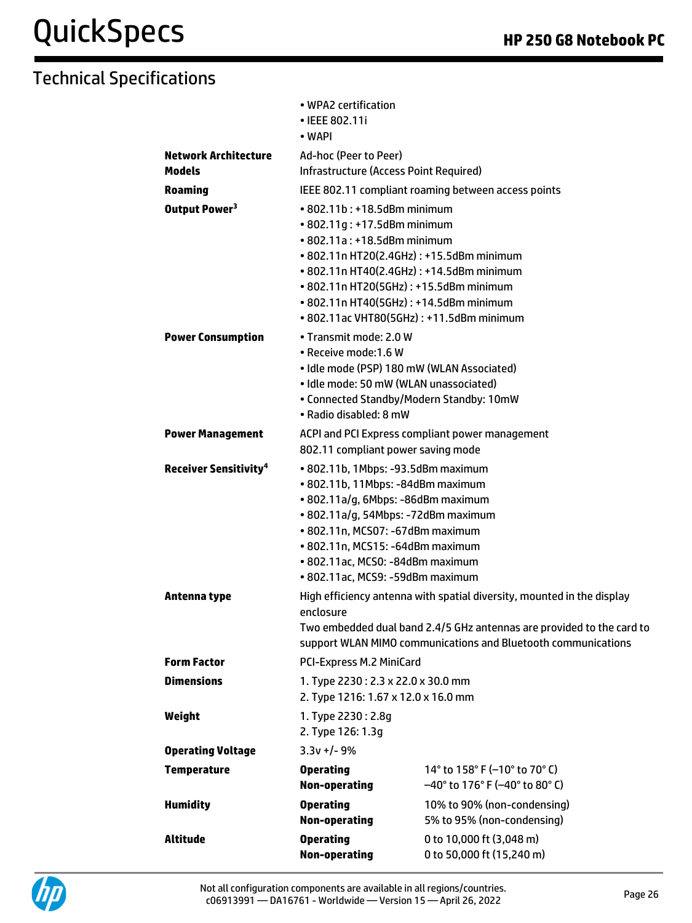|                                              | • IEEE 802.11i<br>• WAPI                                                                                                                                                                                                                                                                                                 |                                                                          |  |
|----------------------------------------------|--------------------------------------------------------------------------------------------------------------------------------------------------------------------------------------------------------------------------------------------------------------------------------------------------------------------------|--------------------------------------------------------------------------|--|
| <b>Network Architecture</b><br><b>Models</b> | Ad-hoc (Peer to Peer)<br><b>Infrastructure (Access Point Required)</b>                                                                                                                                                                                                                                                   |                                                                          |  |
| <b>Roaming</b>                               | IEEE 802.11 compliant roaming between access points                                                                                                                                                                                                                                                                      |                                                                          |  |
| Output Power <sup>3</sup>                    | $\cdot$ 802.11b : +18.5dBm minimum<br>• 802.11g: +17.5dBm minimum<br>• 802.11a: +18.5dBm minimum<br>• 802.11n HT20(2.4GHz): +15.5dBm minimum<br>• 802.11n HT40(2.4GHz): +14.5dBm minimum<br>• 802.11n HT20(5GHz): +15.5dBm minimum<br>• 802.11n HT40(5GHz): +14.5dBm minimum<br>• 802.11ac VHT80(5GHz): +11.5dBm minimum |                                                                          |  |
| <b>Power Consumption</b>                     | • Transmit mode: 2.0 W<br>• Receive mode:1.6 W<br>· Idle mode (PSP) 180 mW (WLAN Associated)<br>· Idle mode: 50 mW (WLAN unassociated)<br>• Connected Standby/Modern Standby: 10mW<br>• Radio disabled: 8 mW                                                                                                             |                                                                          |  |
| <b>Power Management</b>                      | ACPI and PCI Express compliant power management<br>802.11 compliant power saving mode                                                                                                                                                                                                                                    |                                                                          |  |
| <b>Receiver Sensitivity<sup>4</sup></b>      | • 802.11b, 1Mbps: -93.5dBm maximum<br>· 802.11b, 11Mbps: -84dBm maximum<br>· 802.11a/g, 6Mbps: -86dBm maximum<br>· 802.11a/g, 54Mbps: -72dBm maximum<br>• 802.11n, MCS07: -67dBm maximum<br>• 802.11n, MCS15: -64dBm maximum<br>• 802.11ac, MCS0: -84dBm maximum<br>• 802.11ac, MCS9: -59dBm maximum                     |                                                                          |  |
| Antenna type                                 | High efficiency antenna with spatial diversity, mounted in the display<br>enclosure<br>Two embedded dual band 2.4/5 GHz antennas are provided to the card to<br>support WLAN MIMO communications and Bluetooth communications                                                                                            |                                                                          |  |
| <b>Form Factor</b>                           | PCI-Express M.2 MiniCard                                                                                                                                                                                                                                                                                                 |                                                                          |  |
| <b>Dimensions</b>                            | 1. Type 2230: 2.3 x 22.0 x 30.0 mm<br>2. Type 1216: 1.67 x 12.0 x 16.0 mm                                                                                                                                                                                                                                                |                                                                          |  |
| Weight                                       | 1. Type 2230: 2.8g<br>2. Type 126: 1.3g                                                                                                                                                                                                                                                                                  |                                                                          |  |
| <b>Operating Voltage</b>                     | $3.3v + 1 - 9%$                                                                                                                                                                                                                                                                                                          |                                                                          |  |
| <b>Temperature</b>                           | <b>Operating</b><br><b>Non-operating</b>                                                                                                                                                                                                                                                                                 | 14° to 158° F (-10° to 70° C)<br>$-40^{\circ}$ to 176° F (-40° to 80° C) |  |
| <b>Humidity</b>                              | <b>Operating</b><br><b>Non-operating</b>                                                                                                                                                                                                                                                                                 | 10% to 90% (non-condensing)<br>5% to 95% (non-condensing)                |  |
| Altitude                                     | <b>Operating</b><br><b>Non-operating</b>                                                                                                                                                                                                                                                                                 | 0 to 10,000 ft (3,048 m)<br>0 to 50,000 ft (15,240 m)                    |  |

• WPA2 certification

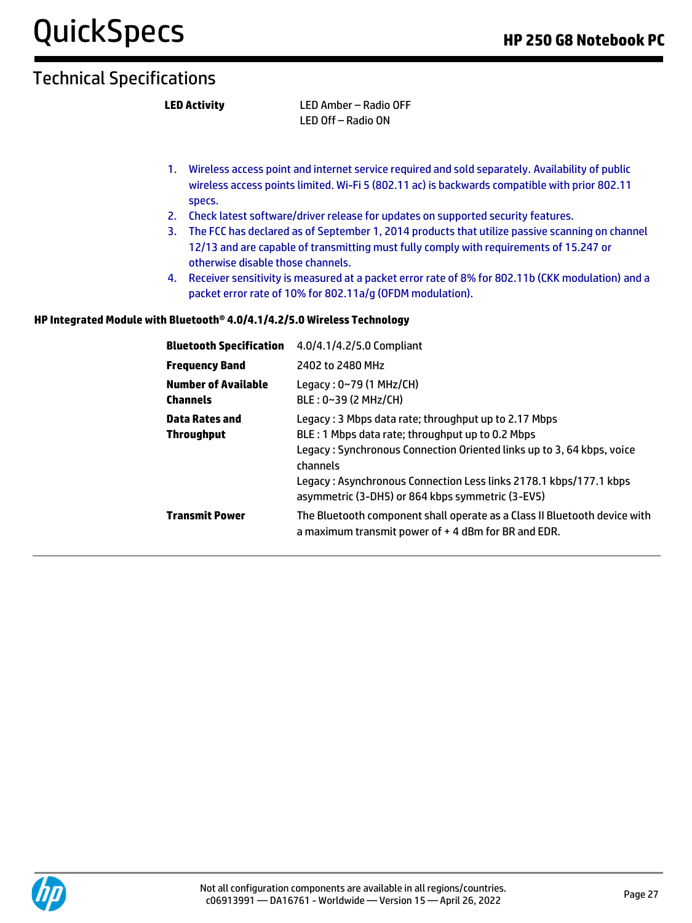**LED Activity** LED Amber – Radio OFF LED Off – Radio ON

- 1. Wireless access point and internet service required and sold separately. Availability of public wireless access points limited. Wi-Fi 5 (802.11 ac) is backwards compatible with prior 802.11 specs.
- 2. Check latest software/driver release for updates on supported security features.
- 3. The FCC has declared as of September 1, 2014 products that utilize passive scanning on channel 12/13 and are capable of transmitting must fully comply with requirements of 15.247 or otherwise disable those channels.
- 4. Receiver sensitivity is measured at a packet error rate of 8% for 802.11b (CKK modulation) and a packet error rate of 10% for 802.11a/g (OFDM modulation).

#### **HP Integrated Module with Bluetooth® 4.0/4.1/4.2/5.0 Wireless Technology**

| <b>Bluetooth Specification</b>                | 4.0/4.1/4.2/5.0 Compliant                                                                                                                                                                                                                                                                                              |
|-----------------------------------------------|------------------------------------------------------------------------------------------------------------------------------------------------------------------------------------------------------------------------------------------------------------------------------------------------------------------------|
| <b>Frequency Band</b>                         | 2402 to 2480 MHz                                                                                                                                                                                                                                                                                                       |
| <b>Number of Available</b><br><b>Channels</b> | Legacy: 0~79 (1 MHz/CH)<br>$BLE: 0~39$ (2 MHz/CH)                                                                                                                                                                                                                                                                      |
| Data Rates and<br><b>Throughput</b>           | Legacy: 3 Mbps data rate; throughput up to 2.17 Mbps<br>BLE: 1 Mbps data rate; throughput up to 0.2 Mbps<br>Legacy: Synchronous Connection Oriented links up to 3, 64 kbps, voice<br>channels<br>Legacy: Asynchronous Connection Less links 2178.1 kbps/177.1 kbps<br>asymmetric (3-DH5) or 864 kbps symmetric (3-EV5) |
| <b>Transmit Power</b>                         | The Bluetooth component shall operate as a Class II Bluetooth device with<br>a maximum transmit power of $+$ 4 dBm for BR and EDR.                                                                                                                                                                                     |

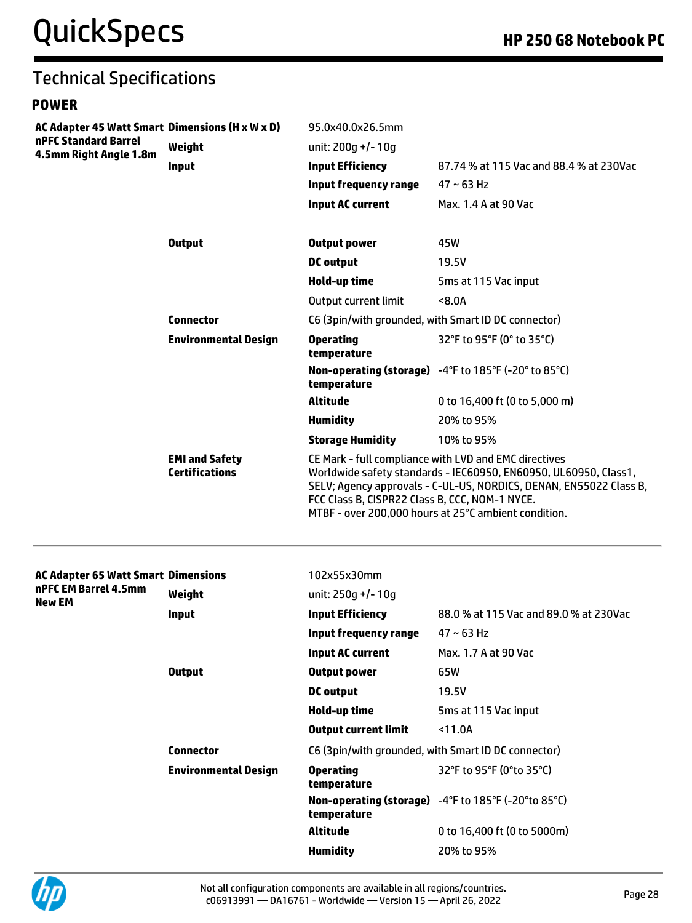#### Technical Specifications **POWER AC Adapter 45 Watt Smart Dimensions (H x W x D)** 95.0x40.0x26.5mm **nPFC Standard Barrel 4.5mm Right Angle 1.8m Weight** unit: 200g +/- 10g **Input Input Efficiency** 87.74 % at 115 Vac and 88.4 % at 230Vac **Input frequency range** 47 ~ 63 Hz **Input AC current** Max. 1.4 A at 90 Vac **Output Output power** 45W **DC output** 19.5V **Hold-up time** 5ms at 115 Vac input Output current limit <8.0A **Connector** C6 (3pin/with grounded, with Smart ID DC connector) **Environmental Design Operating temperature** 32°F to 95°F (0° to 35°C) **Non-operating (storage)**  -4°F to 185°F (-20° to 85°C) **temperature Altitude** 0 to 16,400 ft (0 to 5,000 m) **Humidity** 20% to 95% **Storage Humidity** 10% to 95% **EMI and Safety Certifications** CE Mark - full compliance with LVD and EMC directives Worldwide safety standards - IEC60950, EN60950, UL60950, Class1, SELV; Agency approvals - C-UL-US, NORDICS, DENAN, EN55022 Class B, FCC Class B, CISPR22 Class B, CCC, NOM-1 NYCE. MTBF - over 200,000 hours at 25°C ambient condition. **AC Adapter 65 Watt Smart nPFC EM Barrel 4.5mm New EM Dimensions** 102x55x30mm **Weight** unit: 250g +/- 10g **Input Input Efficiency** 88.0 % at 115 Vac and 89.0 % at 230Vac **Input frequency range** 47 ~ 63 Hz **Input AC current** Max. 1.7 A at 90 Vac **Output Output power** 65W **DC output** 19.5V **Hold-up time** 5ms at 115 Vac input **Output current limit** <11.0A **Connector** C6 (3pin/with grounded, with Smart ID DC connector) **Environmental Design Operating temperature** 32°F to 95°F (0°to 35°C) **Non-operating (storage)**  -4°F to 185°F (-20°to 85°C) **temperature Altitude** 0 to 16,400 ft (0 to 5000m) **Humidity** 20% to 95%

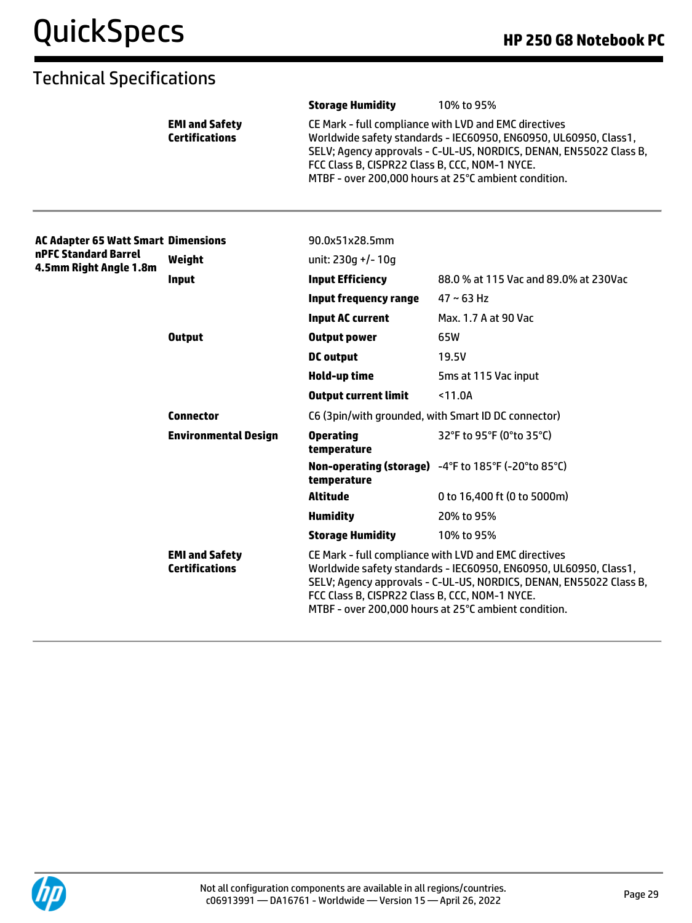|                                            |                                                | <b>Storage Humidity</b>                                                                                                                                                                                                                                                                                   | 10% to 95%                                                                                                                                                                                                                                              |
|--------------------------------------------|------------------------------------------------|-----------------------------------------------------------------------------------------------------------------------------------------------------------------------------------------------------------------------------------------------------------------------------------------------------------|---------------------------------------------------------------------------------------------------------------------------------------------------------------------------------------------------------------------------------------------------------|
|                                            | <b>EMI and Safety</b><br><b>Certifications</b> | FCC Class B, CISPR22 Class B, CCC, NOM-1 NYCE.                                                                                                                                                                                                                                                            | CE Mark - full compliance with LVD and EMC directives<br>Worldwide safety standards - IEC60950, EN60950, UL60950, Class1,<br>SELV; Agency approvals - C-UL-US, NORDICS, DENAN, EN55022 Class B,<br>MTBF - over 200,000 hours at 25°C ambient condition. |
| <b>AC Adapter 65 Watt Smart Dimensions</b> |                                                | 90.0x51x28.5mm                                                                                                                                                                                                                                                                                            |                                                                                                                                                                                                                                                         |
| nPFC Standard Barrel                       | Weight                                         | unit: 230q +/- 10q                                                                                                                                                                                                                                                                                        |                                                                                                                                                                                                                                                         |
| 4.5mm Right Angle 1.8m                     | Input                                          | <b>Input Efficiency</b>                                                                                                                                                                                                                                                                                   | 88.0 % at 115 Vac and 89.0% at 230Vac                                                                                                                                                                                                                   |
|                                            |                                                | <b>Input frequency range</b>                                                                                                                                                                                                                                                                              | $47 \sim 63$ Hz                                                                                                                                                                                                                                         |
|                                            |                                                | <b>Input AC current</b>                                                                                                                                                                                                                                                                                   | Max. 1.7 A at 90 Vac                                                                                                                                                                                                                                    |
|                                            | <b>Output</b>                                  | <b>Output power</b>                                                                                                                                                                                                                                                                                       | 65W                                                                                                                                                                                                                                                     |
|                                            |                                                | <b>DC</b> output                                                                                                                                                                                                                                                                                          | 19.5V                                                                                                                                                                                                                                                   |
|                                            |                                                | <b>Hold-up time</b>                                                                                                                                                                                                                                                                                       | 5ms at 115 Vac input                                                                                                                                                                                                                                    |
|                                            |                                                | <b>Output current limit</b>                                                                                                                                                                                                                                                                               | $11.0A$                                                                                                                                                                                                                                                 |
|                                            | <b>Connector</b>                               | C6 (3pin/with grounded, with Smart ID DC connector)                                                                                                                                                                                                                                                       |                                                                                                                                                                                                                                                         |
|                                            | <b>Environmental Design</b>                    | <b>Operating</b><br>temperature                                                                                                                                                                                                                                                                           | 32°F to 95°F (0°to 35°C)                                                                                                                                                                                                                                |
|                                            |                                                | temperature                                                                                                                                                                                                                                                                                               | Non-operating (storage) -4°F to 185°F (-20°to 85°C)                                                                                                                                                                                                     |
|                                            |                                                | <b>Altitude</b>                                                                                                                                                                                                                                                                                           | 0 to 16,400 ft (0 to 5000m)                                                                                                                                                                                                                             |
|                                            |                                                | <b>Humidity</b>                                                                                                                                                                                                                                                                                           | 20% to 95%                                                                                                                                                                                                                                              |
|                                            |                                                | <b>Storage Humidity</b>                                                                                                                                                                                                                                                                                   | 10% to 95%                                                                                                                                                                                                                                              |
|                                            | <b>EMI and Safety</b><br><b>Certifications</b> | CE Mark - full compliance with LVD and EMC directives<br>Worldwide safety standards - IEC60950, EN60950, UL60950, Class1,<br>SELV; Agency approvals - C-UL-US, NORDICS, DENAN, EN55022 Class B,<br>FCC Class B, CISPR22 Class B, CCC, NOM-1 NYCE.<br>MTBF - over 200,000 hours at 25°C ambient condition. |                                                                                                                                                                                                                                                         |

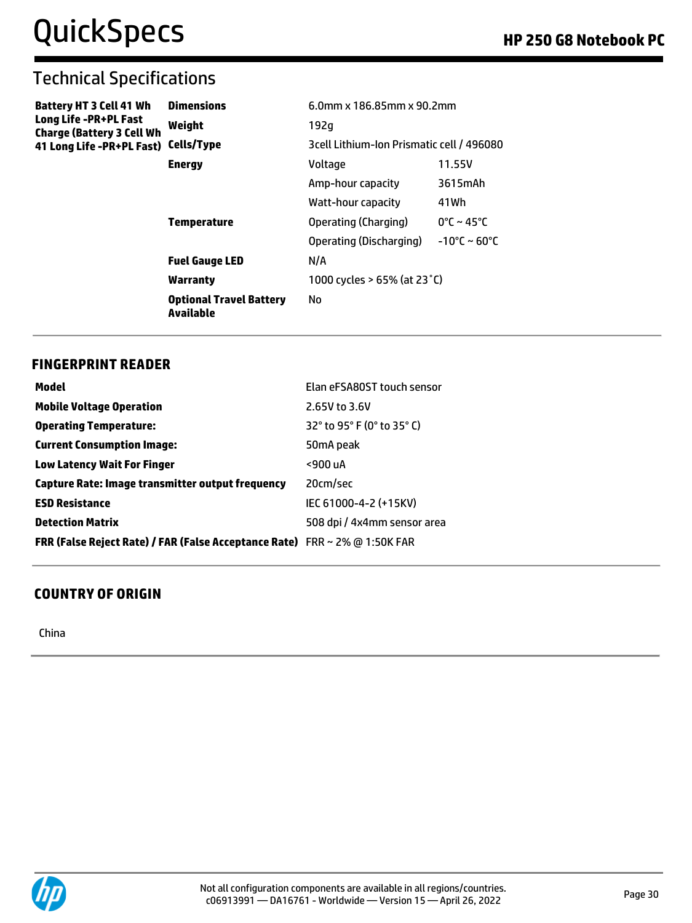| <b>Battery HT 3 Cell 41 Wh</b><br>Long Life -PR+PL Fast<br><b>Charge (Battery 3 Cell Wh</b> | <b>Dimensions</b>                           | 6.0mm x 186.85mm x 90.2mm                 |                                 |
|---------------------------------------------------------------------------------------------|---------------------------------------------|-------------------------------------------|---------------------------------|
|                                                                                             | Weight                                      | 192g                                      |                                 |
| 41 Long Life -PR+PL Fast)                                                                   | Cells/Type                                  | 3cell Lithium-Ion Prismatic cell / 496080 |                                 |
|                                                                                             | <b>Energy</b>                               | Voltage                                   | 11.55V                          |
|                                                                                             |                                             | Amp-hour capacity                         | 3615mAh                         |
|                                                                                             |                                             | Watt-hour capacity                        | 41 Wh                           |
|                                                                                             | <b>Temperature</b>                          | Operating (Charging)                      | $0^{\circ}$ C ~ 45 $^{\circ}$ C |
|                                                                                             |                                             | Operating (Discharging)                   | $-10^{\circ}$ C ~ 60°C          |
|                                                                                             | <b>Fuel Gauge LED</b>                       | N/A                                       |                                 |
|                                                                                             | Warranty                                    | 1000 cycles > 65% (at 23 °C)              |                                 |
|                                                                                             | <b>Optional Travel Battery</b><br>Available | No                                        |                                 |

#### **FINGERPRINT READER**

| Model                                                                      | Elan eFSA80ST touch sensor  |
|----------------------------------------------------------------------------|-----------------------------|
| <b>Mobile Voltage Operation</b>                                            | 2.65V to 3.6V               |
| <b>Operating Temperature:</b>                                              | 32° to 95° F (0° to 35° C)  |
| <b>Current Consumption Image:</b>                                          | 50mA peak                   |
| <b>Low Latency Wait For Finger</b>                                         | <900 uA                     |
| Capture Rate: Image transmitter output frequency                           | 20cm/sec                    |
| <b>ESD Resistance</b>                                                      | IEC 61000-4-2 (+15KV)       |
| <b>Detection Matrix</b>                                                    | 508 dpi / 4x4mm sensor area |
| FRR (False Reject Rate) / FAR (False Acceptance Rate) FRR ~ 2% @ 1:50K FAR |                             |

#### **COUNTRY OF ORIGIN**

China

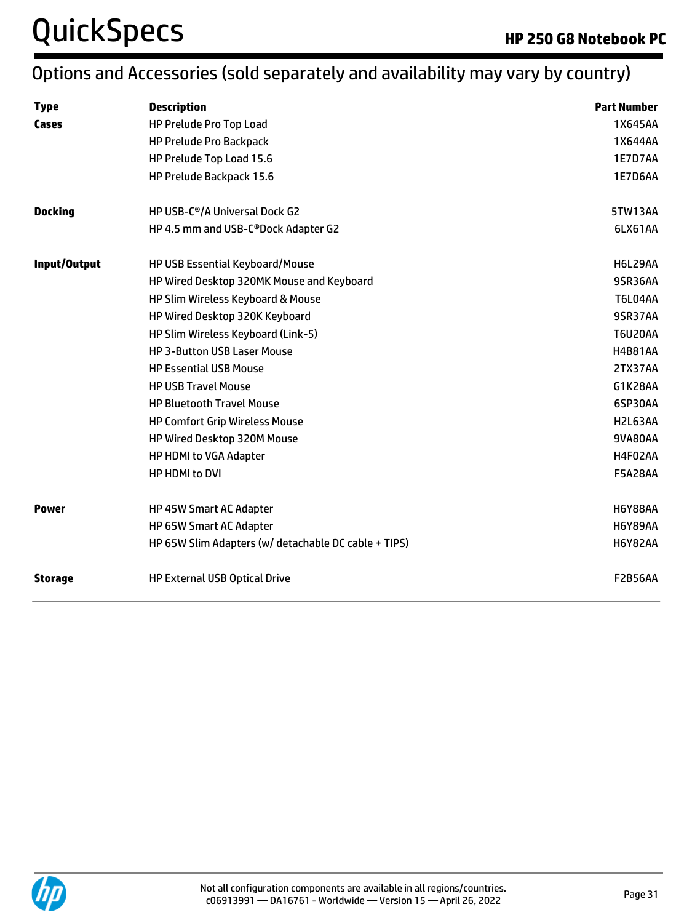# QuickSpecs **Accord Property Control** Research **HP 250 G8 Notebook PC**

## Options and Accessories (sold separately and availability may vary by country)

| <b>Type</b>    | <b>Description</b>                                   | <b>Part Number</b> |
|----------------|------------------------------------------------------|--------------------|
| Cases          | HP Prelude Pro Top Load                              | 1X645AA            |
|                | <b>HP Prelude Pro Backpack</b>                       | 1X644AA            |
|                | HP Prelude Top Load 15.6                             | 1E7D7AA            |
|                | HP Prelude Backpack 15.6                             | 1E7D6AA            |
| <b>Docking</b> | HP USB-C <sup>®</sup> /A Universal Dock G2           | 5TW13AA            |
|                | HP 4.5 mm and USB-C®Dock Adapter G2                  | 6LX61AA            |
| Input/Output   | HP USB Essential Keyboard/Mouse                      | H6L29AA            |
|                | HP Wired Desktop 320MK Mouse and Keyboard            | 9SR36AA            |
|                | HP Slim Wireless Keyboard & Mouse                    | <b>T6L04AA</b>     |
|                | HP Wired Desktop 320K Keyboard                       | 9SR37AA            |
|                | HP Slim Wireless Keyboard (Link-5)                   | <b>T6U20AA</b>     |
|                | <b>HP 3-Button USB Laser Mouse</b>                   | <b>H4B81AA</b>     |
|                | <b>HP Essential USB Mouse</b>                        | 2TX37AA            |
|                | <b>HP USB Travel Mouse</b>                           | G1K28AA            |
|                | <b>HP Bluetooth Travel Mouse</b>                     | 6SP30AA            |
|                | <b>HP Comfort Grip Wireless Mouse</b>                | H2L63AA            |
|                | HP Wired Desktop 320M Mouse                          | 9VA80AA            |
|                | HP HDMI to VGA Adapter                               | H4F02AA            |
|                | HP HDMI to DVI                                       | <b>F5A28AA</b>     |
| <b>Power</b>   | HP 45W Smart AC Adapter                              | <b>H6Y88AA</b>     |
|                | HP 65W Smart AC Adapter                              | <b>H6Y89AA</b>     |
|                | HP 65W Slim Adapters (w/ detachable DC cable + TIPS) | <b>H6Y82AA</b>     |
| <b>Storage</b> | <b>HP External USB Optical Drive</b>                 | <b>F2B56AA</b>     |